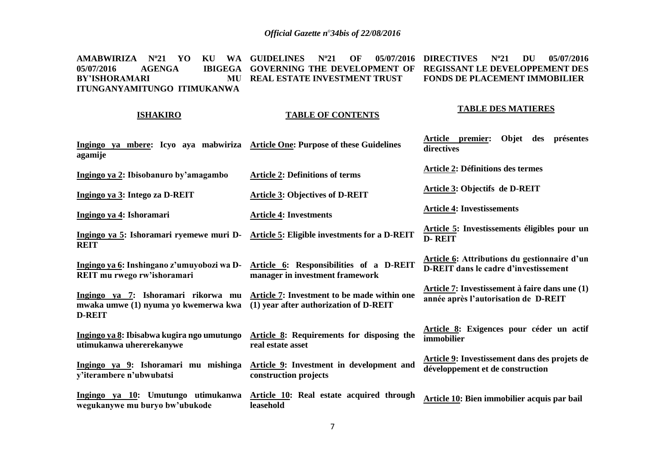**AMABWIRIZA N<sup>o</sup>21 YO KU WA GUIDELINES N<sup>o</sup>21 OF 05/07/2016 DIRECTIVES N<sup>o</sup>21 DU 05/07/2016 05/07/2016 AGENGA IBIGEGA GOVERNING THE DEVELOPMENT OF REGISSANT LE DEVELOPPEMENT DES BY'ISHORAMARI ITUNGANYAMITUNGO ITIMUKANWA REAL ESTATE INVESTMENT TRUST FONDS DE PLACEMENT IMMOBILIER** 

#### **ISHAKIRO**

#### **TABLE OF CONTENTS**

#### **TABLE DES MATIERES**

| Ingingo ya mbere: Icyo aya mabwiriza Article One: Purpose of these Guidelines<br>agamije                                                 |                                                                   | Objet des présentes<br>Article premier:<br>directives                                  |
|------------------------------------------------------------------------------------------------------------------------------------------|-------------------------------------------------------------------|----------------------------------------------------------------------------------------|
| Ingingo ya 2: Ibisobanuro by'amagambo                                                                                                    | <b>Article 2: Definitions of terms</b>                            | Article 2: Définitions des termes                                                      |
| Ingingo ya 3: Intego za D-REIT                                                                                                           | <b>Article 3: Objectives of D-REIT</b>                            | <b>Article 3: Objectifs de D-REIT</b>                                                  |
| Ingingo ya 4: Ishoramari                                                                                                                 | <b>Article 4: Investments</b>                                     | <b>Article 4: Investissements</b>                                                      |
| Ingingo ya 5: Ishoramari ryemewe muri D- Article 5: Eligible investments for a D-REIT<br><b>REIT</b>                                     |                                                                   | Article 5: Investissements éligibles pour un<br><b>D-REIT</b>                          |
| Ingingo ya 6: Inshingano z'umuyobozi wa D- Article 6: Responsibilities of a D-REIT<br>REIT mu rwego rw'ishoramari                        | manager in investment framework                                   | Article 6: Attributions du gestionnaire d'un<br>D-REIT dans le cadre d'investissement  |
| Ingingo ya 7: Ishoramari rikorwa mu Article 7: Investment to be made within one<br>mwaka umwe (1) nyuma yo kwemerwa kwa<br><b>D-REIT</b> | (1) year after authorization of D-REIT                            | Article 7: Investissement à faire dans une (1)<br>année après l'autorisation de D-REIT |
| Ingingo ya 8: Ibisabwa kugira ngo umutungo Article 8: Requirements for disposing the<br>utimukanwa uhererekanywe                         | real estate asset                                                 | Article 8: Exigences pour céder un actif<br>immobilier                                 |
| Ingingo ya 9: Ishoramari mu mishinga<br>y'iterambere n'ubwubatsi                                                                         | Article 9: Investment in development and<br>construction projects | Article 9: Investissement dans des projets de<br>développement et de construction      |
| Ingingo ya 10: Umutungo utimukanwa<br>wegukanywe mu buryo bw'ubukode                                                                     | Article 10: Real estate acquired through<br>leasehold             | Article 10: Bien immobilier acquis par bail                                            |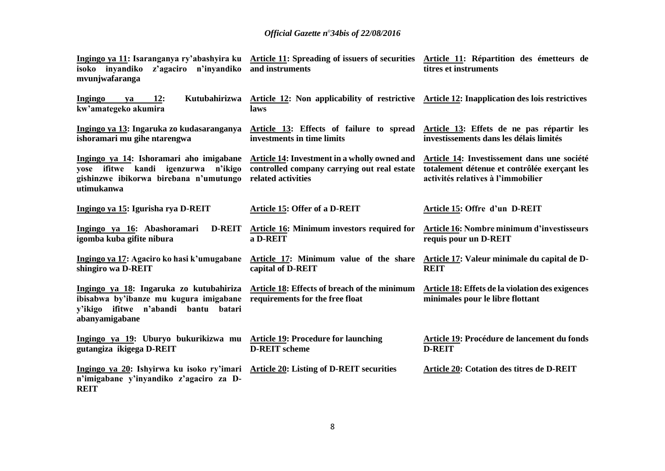| z'agaciro n'inyandiko and instruments<br>isoko inyandiko<br>mvunjwafaranga                                                                   | Ingingo ya 11: Isaranganya ry'abashyira ku Article 11: Spreading of issuers of securities Article 11: Répartition des émetteurs de                         | titres et instruments                                                                                                             |
|----------------------------------------------------------------------------------------------------------------------------------------------|------------------------------------------------------------------------------------------------------------------------------------------------------------|-----------------------------------------------------------------------------------------------------------------------------------|
| Ingingo<br>12:<br>Kutubahirizwa<br>va<br>kw'amategeko akumira                                                                                | Article 12: Non applicability of restrictive Article 12: Inapplication des lois restrictives<br>laws                                                       |                                                                                                                                   |
| ishoramari mu gihe ntarengwa                                                                                                                 | Ingingo ya 13: Ingaruka zo kudasaranganya Article 13: Effects of failure to spread Article 13: Effets de ne pas répartir les<br>investments in time limits | investissements dans les délais limités                                                                                           |
| Ingingo ya 14: Ishoramari aho imigabane<br>yose ifitwe kandi igenzurwa n'ikigo<br>gishinzwe ibikorwa birebana n'umutungo<br>utimukanwa       | Article 14: Investment in a wholly owned and<br>controlled company carrying out real estate<br>related activities                                          | Article 14: Investissement dans une société<br>totalement détenue et contrôlée exerçant les<br>activités relatives à l'immobilier |
| Ingingo ya 15: Igurisha rya D-REIT                                                                                                           | <b>Article 15: Offer of a D-REIT</b>                                                                                                                       | Article 15: Offre d'un D-REIT                                                                                                     |
| Ingingo ya 16: Abashoramari<br><b>D-REIT</b><br>igomba kuba gifite nibura                                                                    | <b>Article 16: Minimum investors required for Article 16: Nombre minimum d'investisseurs</b><br>a D-REIT                                                   | requis pour un D-REIT                                                                                                             |
| Ingingo ya 17: Agaciro ko hasi k'umugabane<br>shingiro wa D-REIT                                                                             | Article 17: Minimum value of the share<br>capital of D-REIT                                                                                                | Article 17: Valeur minimale du capital de D-<br><b>REIT</b>                                                                       |
| Ingingo ya 18: Ingaruka zo kutubahiriza<br>ibisabwa by'ibanze mu kugura imigabane<br>y'ikigo ifitwe n'abandi bantu batari<br>abanyamigabane  | Article 18: Effects of breach of the minimum<br>requirements for the free float                                                                            | Article 18: Effets de la violation des exigences<br>minimales pour le libre flottant                                              |
| Ingingo ya 19: Uburyo bukurikizwa mu Article 19: Procedure for launching<br>gutangiza ikigega D-REIT                                         | <b>D-REIT</b> scheme                                                                                                                                       | Article 19: Procédure de lancement du fonds<br><b>D-REIT</b>                                                                      |
| Ingingo ya 20: Ishyirwa ku isoko ry'imari Article 20: Listing of D-REIT securities<br>n'imigabane y'inyandiko z'agaciro za D-<br><b>REIT</b> |                                                                                                                                                            | <b>Article 20: Cotation des titres de D-REIT</b>                                                                                  |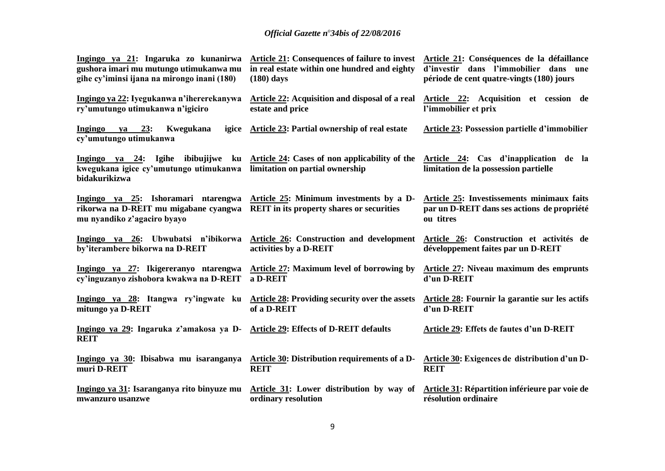| Ingingo ya 21: Ingaruka zo kunanirwa<br>gushora imari mu mutungo utimukanwa mu<br>gihe cy'iminsi ijana na mirongo inani (180) | Article 21: Consequences of failure to invest Article 21: Conséquences de la défaillance<br>in real estate within one hundred and eighty<br>$(180)$ days | d'investir dans l'immobilier dans une<br>période de cent quatre-vingts (180) jours                     |
|-------------------------------------------------------------------------------------------------------------------------------|----------------------------------------------------------------------------------------------------------------------------------------------------------|--------------------------------------------------------------------------------------------------------|
| ry'umutungo utimukanwa n'igiciro                                                                                              | Ingingo ya 22: Iyegukanwa n'ihererekanywa Article 22: Acquisition and disposal of a real<br>estate and price                                             | Article 22: Acquisition et cession de<br>l'immobilier et prix                                          |
| Ingingo ya 23:<br>Kwegukana<br>cy'umutungo utimukanwa                                                                         | igice Article 23: Partial ownership of real estate                                                                                                       | Article 23: Possession partielle d'immobilier                                                          |
| kwegukana igice cy'umutungo utimukanwa limitation on partial ownership<br>bidakurikizwa                                       | Ingingo ya 24: Igihe ibibujijwe ku Article 24: Cases of non applicability of the                                                                         | Article 24: Cas d'inapplication de la<br>limitation de la possession partielle                         |
| rikorwa na D-REIT mu migabane cyangwa REIT in its property shares or securities<br>mu nyandiko z'agaciro byayo                | Ingingo ya 25: Ishoramari ntarengwa Article 25: Minimum investments by a D-                                                                              | Article 25: Investissements minimaux faits<br>par un D-REIT dans ses actions de propriété<br>ou titres |
| by'iterambere bikorwa na D-REIT                                                                                               | Ingingo ya 26: Ubwubatsi n'ibikorwa Article 26: Construction and development<br>activities by a D-REIT                                                   | Article 26: Construction et activités de<br>développement faites par un D-REIT                         |
| Ingingo ya 27: Ikigereranyo ntarengwa<br>cy'inguzanyo zishobora kwakwa na D-REIT                                              | <b>Article 27: Maximum level of borrowing by</b><br>a D-REIT                                                                                             | <b>Article 27:</b> Niveau maximum des emprunts<br>d'un D-REIT                                          |
| mitungo ya D-REIT                                                                                                             | Ingingo ya 28: Itangwa ry'ingwate ku Article 28: Providing security over the assets<br>of a D-REIT                                                       | Article 28: Fournir la garantie sur les actifs<br>d'un D-REIT                                          |
| Ingingo ya 29: Ingaruka z'amakosa ya D- Article 29: Effects of D-REIT defaults<br><b>REIT</b>                                 |                                                                                                                                                          | Article 29: Effets de fautes d'un D-REIT                                                               |
| Ingingo ya 30: Ibisabwa mu isaranganya<br>muri D-REIT                                                                         | Article 30: Distribution requirements of a D-<br><b>REIT</b>                                                                                             | Article 30: Exigences de distribution d'un D-<br><b>REIT</b>                                           |
| Ingingo ya 31: Isaranganya rito binyuze mu<br>mwanzuro usanzwe                                                                | Article 31: Lower distribution by way of<br>ordinary resolution                                                                                          | Article 31: Répartition inférieure par voie de<br>résolution ordinaire                                 |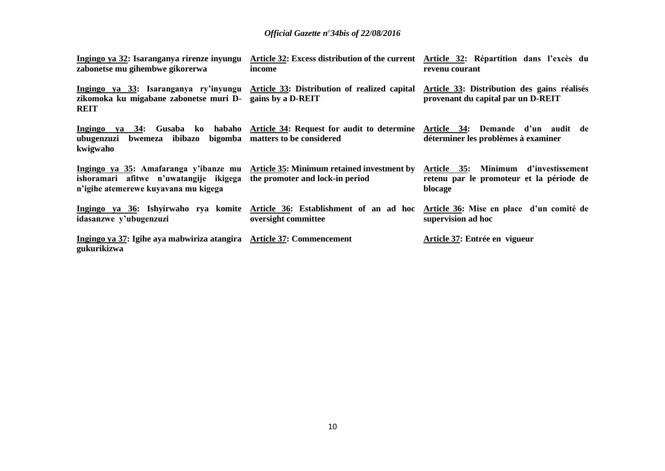| Ingingo ya 32: Isaranganya rirenze inyungu<br>zabonetse mu gihembwe gikorerwa                                                                                      | income                                                                                                                                           | Article 32: Excess distribution of the current Article 32: Répartition dans l'excès du<br>revenu courant |
|--------------------------------------------------------------------------------------------------------------------------------------------------------------------|--------------------------------------------------------------------------------------------------------------------------------------------------|----------------------------------------------------------------------------------------------------------|
| zikomoka ku migabane zabonetse muri D- gains by a D-REIT<br><b>REIT</b>                                                                                            | Ingingo ya 33: Isaranganya ry'inyungu Article 33: Distribution of realized capital                                                               | Article 33: Distribution des gains réalisés<br>provenant du capital par un D-REIT                        |
| bwemeza ibibazo<br>ubugenzuzi<br>kwigwaho                                                                                                                          | Ingingo ya 34: Gusaba ko habaho Article 34: Request for audit to determine Article 34: Demande d'un audit de<br>bigomba matters to be considered | déterminer les problèmes à examiner                                                                      |
| Ingingo ya 35: Amafaranga y'ibanze mu Article 35: Minimum retained investment by<br>ishoramari afitwe n'uwatangije ikigega<br>n'igihe atemerewe kuyavana mu kigega | the promoter and lock-in period                                                                                                                  | Article 35: Minimum d'investissement<br>retenu par le promoteur et la période de<br>blocage              |
| idasanzwe y'ubugenzuzi                                                                                                                                             | Ingingo ya 36: Ishyirwaho rya komite Article 36: Establishment of an ad hoc<br>oversight committee                                               | Article 36: Mise en place d'un comité de<br>supervision ad hoc                                           |
| Ingingo ya 37: Igihe aya mabwiriza atangira Article 37: Commencement<br>gukurikizwa                                                                                |                                                                                                                                                  | Article 37: Entrée en vigueur                                                                            |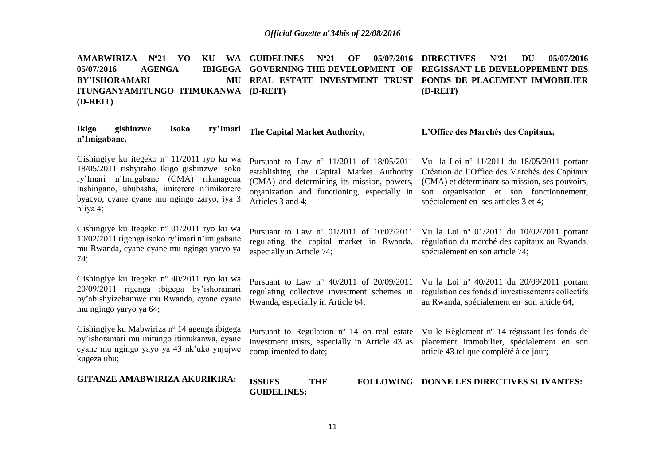**AMABWIRIZA N<sup>o</sup>21 YO KU WA GUIDELINES N<sup>o</sup>21 OF 05/07/2016 DIRECTIVES N<sup>o</sup>21 DU 05/07/2016**  05/07/2016 **AGENGA BY'ISHORAMARI ITUNGANYAMITUNGO ITIMUKANWA (D-REIT) (D-REIT) GOVERNING THE DEVELOPMENT OF REGISSANT LE DEVELOPPEMENT DES REAL ESTATE INVESTMENT TRUST FONDS DE PLACEMENT IMMOBILIER (D-REIT)**

| ry'Imari<br>Ikigo<br>gishinzwe<br><b>Isoko</b><br>n'Imigabane,                                                                                                                                                                                 | The Capital Market Authority,                                                                                                                                                                           | L'Office des Marchés des Capitaux,                                                                                                                                                                                                 |
|------------------------------------------------------------------------------------------------------------------------------------------------------------------------------------------------------------------------------------------------|---------------------------------------------------------------------------------------------------------------------------------------------------------------------------------------------------------|------------------------------------------------------------------------------------------------------------------------------------------------------------------------------------------------------------------------------------|
| Gishingiye ku itegeko nº 11/2011 ryo ku wa<br>18/05/2011 rishyiraho Ikigo gishinzwe Isoko<br>ry'Imari n'Imigabane (CMA) rikanagena<br>inshingano, ububasha, imiterere n'imikorere<br>byacyo, cyane cyane mu ngingo zaryo, iya 3<br>$n$ 'iya 4; | Pursuant to Law nº 11/2011 of 18/05/2011<br>establishing the Capital Market Authority<br>(CMA) and determining its mission, powers,<br>organization and functioning, especially in<br>Articles 3 and 4; | Vu la Loi nº 11/2011 du $18/05/2011$ portant<br>Création de l'Office des Marchés des Capitaux<br>(CMA) et déterminant sa mission, ses pouvoirs,<br>son organisation et son fonctionnement,<br>spécialement en ses articles 3 et 4; |
| Gishingiye ku Itegeko nº 01/2011 ryo ku wa<br>10/02/2011 rigenga isoko ry'imari n'imigabane<br>mu Rwanda, cyane cyane mu ngingo yaryo ya<br>74;                                                                                                | Pursuant to Law $n^{\circ}$ 01/2011 of 10/02/2011<br>regulating the capital market in Rwanda,<br>especially in Article 74;                                                                              | Vu la Loi nº 01/2011 du 10/02/2011 portant<br>régulation du marché des capitaux au Rwanda,<br>spécialement en son article 74;                                                                                                      |
| Gishingiye ku Itegeko nº 40/2011 ryo ku wa<br>20/09/2011 rigenga ibigega by'ishoramari<br>by'abishyizehamwe mu Rwanda, cyane cyane<br>mu ngingo yaryo ya 64;                                                                                   | Pursuant to Law n° 40/2011 of 20/09/2011<br>regulating collective investment schemes in<br>Rwanda, especially in Article 64;                                                                            | Vu la Loi nº 40/2011 du 20/09/2011 portant<br>régulation des fonds d'investissements collectifs<br>au Rwanda, spécialement en son article 64;                                                                                      |
| Gishingiye ku Mabwiriza n° 14 agenga ibigega<br>by'ishoramari mu mitungo itimukanwa, cyane<br>cyane mu ngingo yayo ya 43 nk'uko yujujwe<br>kugeza ubu;                                                                                         | Pursuant to Regulation nº 14 on real estate<br>investment trusts, especially in Article 43 as<br>complimented to date;                                                                                  | Vu le Règlement n° 14 régissant les fonds de<br>placement immobilier, spécialement en son<br>article 43 tel que complété à ce jour;                                                                                                |
| <b>GITANZE AMABWIRIZA AKURIKIRA:</b>                                                                                                                                                                                                           | <b>ISSUES</b><br><b>THE</b><br><b>GUIDELINES:</b>                                                                                                                                                       | FOLLOWING DONNE LES DIRECTIVES SUIVANTES:                                                                                                                                                                                          |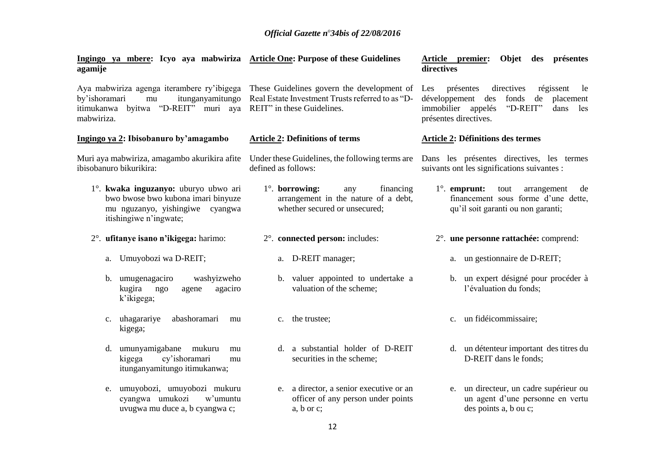| Ingingo ya mbere: Icyo aya mabwiriza Article One: Purpose of these Guidelines<br>agamije                                                   |                                                                                                                              | Article premier: Objet des présentes<br>directives                                                                                                                              |
|--------------------------------------------------------------------------------------------------------------------------------------------|------------------------------------------------------------------------------------------------------------------------------|---------------------------------------------------------------------------------------------------------------------------------------------------------------------------------|
| Aya mabwiriza agenga iterambere ry'ibigega<br>by'ishoramari<br>itunganyamitungo<br>mu<br>itimukanwa byitwa "D-REIT" muri aya<br>mabwiriza. | These Guidelines govern the development of<br>Real Estate Investment Trusts referred to as "D-<br>REIT" in these Guidelines. | directives<br>Les<br>présentes<br>régissent<br>le<br>développement<br>des<br>fonds<br>placement<br>de<br>immobilier appelés<br>"D-REIT"<br>dans<br>les<br>présentes directives. |
| Ingingo ya 2: Ibisobanuro by'amagambo                                                                                                      | <b>Article 2: Definitions of terms</b>                                                                                       | <b>Article 2: Définitions des termes</b>                                                                                                                                        |
| Muri aya mabwiriza, amagambo akurikira afite<br>ibisobanuro bikurikira:                                                                    | Under these Guidelines, the following terms are<br>defined as follows:                                                       | Dans les présentes directives, les termes<br>suivants ont les significations suivantes :                                                                                        |
| 1°. kwaka inguzanyo: uburyo ubwo ari<br>bwo bwose bwo kubona imari binyuze<br>mu nguzanyo, yishingiwe cyangwa<br>itishingiwe n'ingwate;    | 1°. borrowing:<br>financing<br>any<br>arrangement in the nature of a debt,<br>whether secured or unsecured;                  | $1^\circ$ . emprunt:<br>tout<br>arrangement<br>de<br>financement sous forme d'une dette,<br>qu'il soit garanti ou non garanti;                                                  |
| 2°. ufitanye isano n'ikigega: harimo:                                                                                                      | 2° connected person: includes:                                                                                               | 2°. une personne rattachée: comprend:                                                                                                                                           |
| Umuyobozi wa D-REIT;<br>a.                                                                                                                 | a. D-REIT manager;                                                                                                           | a. un gestionnaire de D-REIT;                                                                                                                                                   |
| b. umugenagaciro<br>washyizweho<br>kugira<br>ngo<br>agaciro<br>agene<br>k'ikigega;                                                         | b. valuer appointed to undertake a<br>valuation of the scheme;                                                               | b. un expert désigné pour procéder à<br>l'évaluation du fonds;                                                                                                                  |
| uhagarariye<br>abashoramari<br>mu<br>$\mathbf{c}$ .<br>kigega;                                                                             | c. the trustee;                                                                                                              | un fidéicommissaire;<br>$c_{\cdot}$                                                                                                                                             |
| umunyamigabane<br>mukuru<br>d.<br>mu<br>cy'ishoramari<br>kigega<br>mu<br>itunganyamitungo itimukanwa;                                      | a substantial holder of D-REIT<br>d.<br>securities in the scheme;                                                            | d. un détenteur important des titres du<br>D-REIT dans le fonds;                                                                                                                |
| umuyobozi, umuyobozi mukuru<br>e.<br>cyangwa umukozi<br>w'umuntu<br>uvugwa mu duce a, b cyangwa c;                                         | e. a director, a senior executive or an<br>officer of any person under points<br>$a, b$ or $c$ ;                             | un directeur, un cadre supérieur ou<br>e.<br>un agent d'une personne en vertu<br>des points a, b ou c;                                                                          |
|                                                                                                                                            | 12                                                                                                                           |                                                                                                                                                                                 |
|                                                                                                                                            |                                                                                                                              |                                                                                                                                                                                 |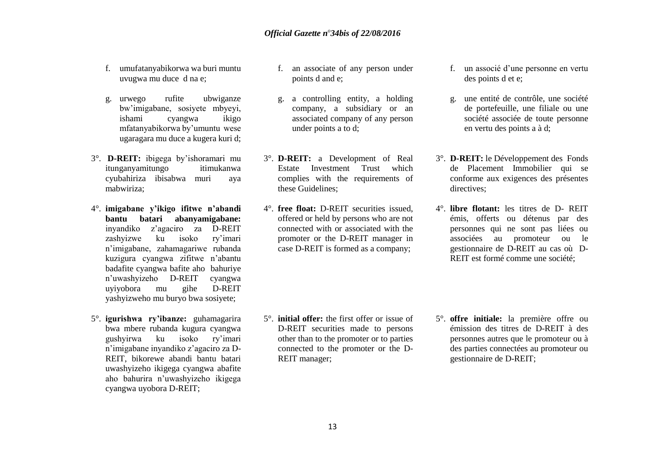- f. umufatanyabikorwa wa buri muntu uvugwa mu duce d na e;
- g. urwego rufite ubwiganze bw'imigabane, sosiyete mbyeyi, ishami cyangwa ikigo mfatanyabikorwa by'umuntu wese ugaragara mu duce a kugera kuri d;
- 3°. **D-REIT:** ibigega by'ishoramari mu itunganyamitungo itimukanwa cyubahiriza ibisabwa muri aya mabwiriza;
- 4°. **imigabane y'ikigo ifitwe n'abandi bantu batari abanyamigabane:** inyandiko z'agaciro za D-REIT zashyizwe ku isoko ry'imari n'imigabane, zahamagariwe rubanda kuzigura cyangwa zifitwe n'abantu badafite cyangwa bafite aho bahuriye n'uwashyizeho D-REIT cyangwa uyiyobora mu gihe D-REIT yashyizweho mu buryo bwa sosiyete;
- 5°. **igurishwa ry'ibanze:** guhamagarira bwa mbere rubanda kugura cyangwa gushyirwa ku isoko ry'imari n'imigabane inyandiko z'agaciro za D-REIT, bikorewe abandi bantu batari uwashyizeho ikigega cyangwa abafite aho bahurira n'uwashyizeho ikigega cyangwa uyobora D-REIT;
- f. an associate of any person under points d and e;
- g. a controlling entity, a holding company, a subsidiary or an associated company of any person under points a to d;
- 3°. **D-REIT:** a Development of Real Estate Investment Trust which complies with the requirements of these Guidelines;
- 4°. **free float:** D-REIT securities issued, offered or held by persons who are not connected with or associated with the promoter or the D-REIT manager in case D-REIT is formed as a company;

5°. **initial offer:** the first offer or issue of D-REIT securities made to persons other than to the promoter or to parties connected to the promoter or the D-REIT manager;

- f. un associé d'une personne en vertu des points d et e;
- g. une entité de contrôle, une société de portefeuille, une filiale ou une société associée de toute personne en vertu des points a à d;
- 3°. **D-REIT:** le Développement des Fonds de Placement Immobilier qui se conforme aux exigences des présentes directives:
- 4°. **libre flotant:** les titres de D- REIT émis, offerts ou détenus par des personnes qui ne sont pas liées ou associées au promoteur ou le gestionnaire de D-REIT au cas où D-REIT est formé comme une société;

5°. **offre initiale:** la première offre ou émission des titres de D-REIT à des personnes autres que le promoteur ou à des parties connectées au promoteur ou gestionnaire de D-REIT;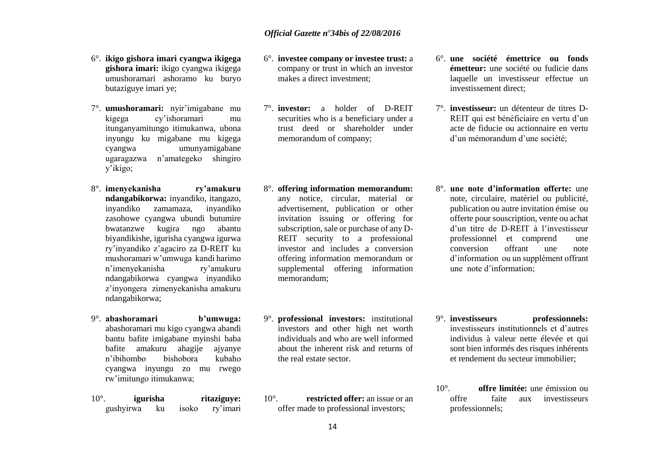- 6°. **ikigo gishora imari cyangwa ikigega gishora imari:** ikigo cyangwa ikigega umushoramari ashoramo ku buryo butaziguye imari ye;
- 7°. **umushoramari:** nyir'imigabane mu kigega cy'ishoramari mu itunganyamitungo itimukanwa, ubona inyungu ku migabane mu kigega cyangwa umunyamigabane ugaragazwa n'amategeko shingiro y'ikigo;
- 8°. **imenyekanisha ry'amakuru ndangabikorwa:** inyandiko, itangazo, inyandiko zamamaza, inyandiko zasohowe cyangwa ubundi butumire bwatanzwe kugira ngo abantu biyandikishe, igurisha cyangwa igurwa ry'inyandiko z'agaciro za D-REIT ku mushoramari w'umwuga kandi harimo n'imenyekanisha ry'amakuru ndangabikorwa cyangwa inyandiko z'inyongera zimenyekanisha amakuru ndangabikorwa;
- 9°. **abashoramari b'umwuga:** abashoramari mu kigo cyangwa abandi bantu bafite imigabane myinshi baba bafite amakuru ahagije ajyanye n'ibihombo bishobora kubaho cyangwa inyungu zo mu rwego rw'imitungo itimukanwa;
- 10°. **igurisha ritaziguye:** gushyirwa ku isoko ry'imari
- 6°. **investee company or investee trust:** a company or trust in which an investor makes a direct investment;
- 7°. **investor:** a holder of D-REIT securities who is a beneficiary under a trust deed or shareholder under memorandum of company;
- 8°. **offering information memorandum:**  any notice, circular, material or advertisement, publication or other invitation issuing or offering for subscription, sale or purchase of any D-REIT security to a professional investor and includes a conversion offering information memorandum or supplemental offering information memorandum;
- 9°. **professional investors:** institutional investors and other high net worth individuals and who are well informed about the inherent risk and returns of the real estate sector.
- 10°. **restricted offer:** an issue or an offer made to professional investors;
- 6°. **une société émettrice ou fonds émetteur:** une société ou fudicie dans laquelle un investisseur effectue un investissement direct;
- 7°. **investisseur:** un détenteur de titres D-REIT qui est bénéficiaire en vertu d'un acte de fiducie ou actionnaire en vertu d'un mémorandum d'une société;
- 8°. **une note d'information offerte:** une note, circulaire, matériel ou publicité, publication ou autre invitation émise ou offerte pour souscription, vente ou achat d'un titre de D-REIT à l'investisseur professionnel et comprend une conversion offrant une note d'information ou un supplément offrant une note d'information;
- 9°. **investisseurs professionnels:**  investisseurs institutionnels et d'autres individus à valeur nette élevée et qui sont bien informés des risques inhérents et rendement du secteur immobilier;
- 10°. **offre limitée:** une émission ou offre faite aux investisseurs professionnels;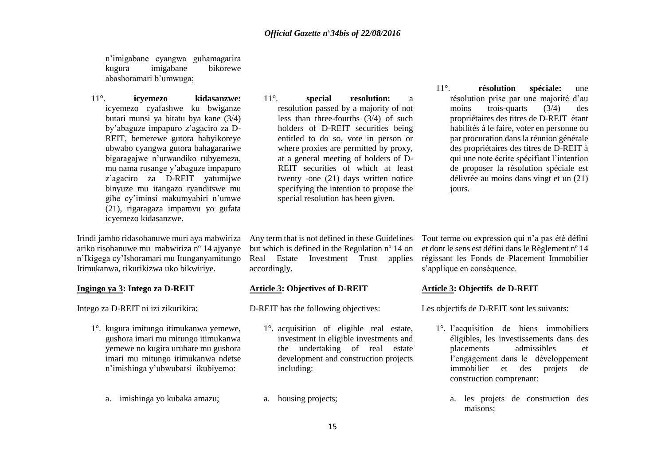n'imigabane cyangwa guhamagarira kugura imigabane bikorewe abashoramari b'umwuga;

11°. **icyemezo kidasanzwe:**  icyemezo cyafashwe ku bwiganze butari munsi ya bitatu bya kane (3/4) by'abaguze impapuro z'agaciro za D-REIT, bemerewe gutora babyikoreye ubwabo cyangwa gutora bahagarariwe bigaragajwe n'urwandiko rubyemeza, mu nama rusange y'abaguze impapuro z'agaciro za D-REIT yatumijwe binyuze mu itangazo ryanditswe mu gihe cy'iminsi makumyabiri n'umwe (21), rigaragaza impamvu yo gufata icyemezo kidasanzwe.

Irindi jambo ridasobanuwe muri aya mabwiriza ariko risobanuwe mu mabwiriza nº 14 ajyanye n'Ikigega cy'Ishoramari mu Itunganyamitungo Itimukanwa, rikurikizwa uko bikwiriye.

#### **Ingingo ya 3: Intego za D-REIT**

Intego za D-REIT ni izi zikurikira:

- 1°. kugura imitungo itimukanwa yemewe, gushora imari mu mitungo itimukanwa yemewe no kugira uruhare mu gushora imari mu mitungo itimukanwa ndetse n'imishinga y'ubwubatsi ikubiyemo:
	- a. imishinga yo kubaka amazu;

11°. **special resolution:** a resolution passed by a majority of not less than three-fourths (3/4) of such holders of D-REIT securities being entitled to do so, vote in person or where proxies are permitted by proxy, at a general meeting of holders of D-REIT securities of which at least twenty -one (21) days written notice specifying the intention to propose the special resolution has been given.

11°. **résolution spéciale:** une résolution prise par une majorité d'au moins trois-quarts (3/4) des propriétaires des titres de D-REIT étant habilités à le faire, voter en personne ou par procuration dans la réunion générale des propriétaires des titres de D-REIT à qui une note écrite spécifiant l'intention de proposer la résolution spéciale est délivrée au moins dans vingt et un (21) jours.

but which is defined in the Regulation nº 14 on accordingly.

#### **Article 3: Objectives of D-REIT**

D-REIT has the following objectives:

- 1°. acquisition of eligible real estate, investment in eligible investments and the undertaking of real estate development and construction projects including:
- a. housing projects;

Any term that is not defined in these Guidelines Tout terme ou expression qui n'a pas été défini Real Estate Investment Trust applies régissant les Fonds de Placement Immobilier et dont le sens est défini dans le Règlement nº 14 s'applique en conséquence.

#### **Article 3: Objectifs de D-REIT**

Les objectifs de D-REIT sont les suivants:

- 1°. l'acquisition de biens immobiliers éligibles, les investissements dans des placements admissibles et l'engagement dans le développement immobilier et des projets de construction comprenant:
	- a. les projets de construction des maisons;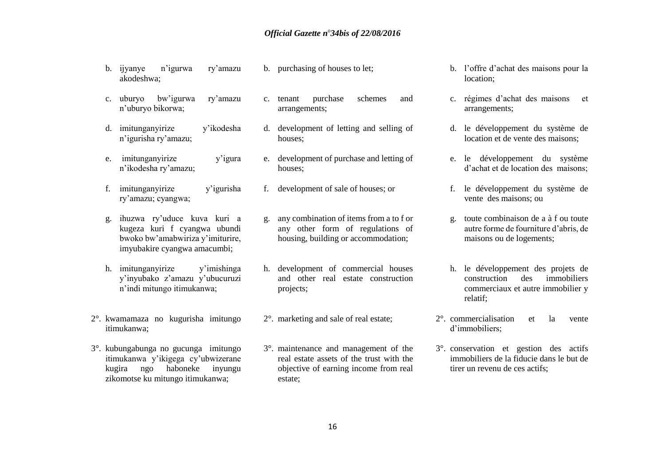- b. ijyanye n'igurwa ry'amazu akodeshwa;
- c. uburyo bw'igurwa ry'amazu n'uburyo bikorwa;
- d. imitunganyirize y'ikodesha n'igurisha ry'amazu;
- e. imitunganyirize y'igura n'ikodesha ry'amazu;
- f. imitunganyirize y'igurisha ry'amazu; cyangwa;
- g. ihuzwa ry'uduce kuva kuri a kugeza kuri f cyangwa ubundi bwoko bw'amabwiriza y'imiturire, imyubakire cyangwa amacumbi;
- h. imitunganyirize y'imishinga y'inyubako z'amazu y'ubucuruzi n'indi mitungo itimukanwa;
- 2°. kwamamaza no kugurisha imitungo itimukanwa;
- 3°. kubungabunga no gucunga imitungo itimukanwa y'ikigega cy'ubwizerane kugira ngo haboneke inyungu zikomotse ku mitungo itimukanwa;
- b. purchasing of houses to let;
	- c. tenant purchase schemes and arrangements;
	- d. development of letting and selling of houses;
	- e. development of purchase and letting of houses;
	- f. development of sale of houses; or
	- g. any combination of items from a to f or any other form of regulations of housing, building or accommodation;
	- h. development of commercial houses and other real estate construction projects;
	- 2°. marketing and sale of real estate;
	- 3°. maintenance and management of the real estate assets of the trust with the objective of earning income from real estate;
- b. l'offre d'achat des maisons pour la location;
- c. régimes d'achat des maisons et arrangements;
- d. le développement du système de location et de vente des maisons;
- e. le développement du système d'achat et de location des maisons;
- f. le développement du système de vente des maisons; ou
- g. toute combinaison de a à f ou toute autre forme de fourniture d'abris, de maisons ou de logements;
- h. le développement des projets de construction des immobiliers commerciaux et autre immobilier y relatif;
- 2°. commercialisation et la vente d'immobiliers;
- 3°. conservation et gestion des actifs immobiliers de la fiducie dans le but de tirer un revenu de ces actifs;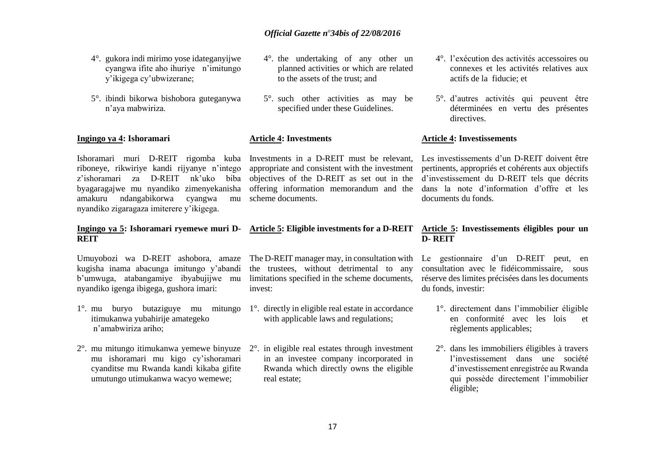- 4°. gukora indi mirimo yose idateganyijwe cyangwa ifite aho ihuriye n'imitungo y'ikigega cy'ubwizerane;
- 5°. ibindi bikorwa bishobora guteganywa n'aya mabwiriza.

#### **Ingingo ya 4: Ishoramari**

Ishoramari muri D-REIT rigomba kuba riboneye, rikwiriye kandi rijyanye n'intego z'ishoramari za D-REIT nk'uko biba byagaragajwe mu nyandiko zimenyekanisha amakuru ndangabikorwa cyangwa mu nyandiko zigaragaza imiterere y'ikigega.

#### **Ingingo ya 5: Ishoramari ryemewe muri D-REIT**

Umuyobozi wa D-REIT ashobora, amaze kugisha inama abacunga imitungo y'abandi b'umwuga, atabangamiye ibyabujijwe mu nyandiko igenga ibigega, gushora imari:

- 1°. mu buryo butaziguye mu mitungo 1°. directly in eligible real estate in accordance itimukanwa yubahirije amategeko n'amabwiriza ariho;
- 2°. mu mitungo itimukanwa yemewe binyuze 2°. in eligible real estates through investment mu ishoramari mu kigo cy'ishoramari cyanditse mu Rwanda kandi kikaba gifite umutungo utimukanwa wacyo wemewe;
- 4°. the undertaking of any other un planned activities or which are related to the assets of the trust; and
- 5°. such other activities as may be specified under these Guidelines.

#### **Article 4: Investments**

objectives of the D-REIT as set out in the offering information memorandum and the scheme documents.

**Article 5: Eligible investments for a D-REIT Article 5: Investissements éligibles pour un** 

the trustees, without detrimental to any limitations specified in the scheme documents, invest:

- with applicable laws and regulations;
	- in an investee company incorporated in Rwanda which directly owns the eligible real estate;
- 4°. l'exécution des activités accessoires ou connexes et les activités relatives aux actifs de la fiducie; et
- 5°. d'autres activités qui peuvent être déterminées en vertu des présentes directives.

#### **Article 4: Investissements**

Investments in a D-REIT must be relevant, Les investissements d'un D-REIT doivent être appropriate and consistent with the investment pertinents, appropriés et cohérents aux objectifs d'investissement du D-REIT tels que décrits dans la note d'information d'offre et les documents du fonds.

### **D- REIT**

The D-REIT manager may, in consultation with Le gestionnaire d'un D-REIT peut, en consultation avec le fidéicommissaire, sous réserve des limites précisées dans les documents du fonds, investir:

- 1°. directement dans l'immobilier éligible en conformité avec les lois et règlements applicables;
- 2°. dans les immobiliers éligibles à travers l'investissement dans une société d'investissement enregistrée au Rwanda qui possède directement l'immobilier éligible;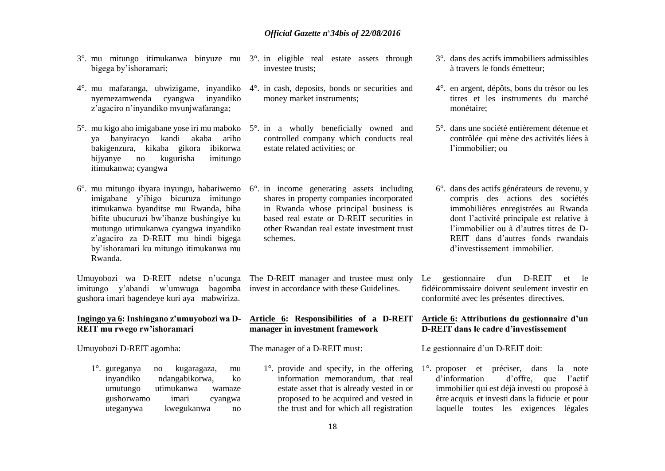- bigega by'ishoramari;
- 4°. mu mafaranga, ubwizigame, inyandiko 4°. in cash, deposits, bonds or securities and nyemezamwenda cyangwa inyandiko z'agaciro n'inyandiko mvunjwafaranga;
- 5°. mu kigo aho imigabane yose iri mu maboko 5°. in a wholly beneficially owned and ya banyiracyo kandi akaba aribo bakigenzura, kikaba gikora ibikorwa bijyanye no kugurisha imitungo itimukanwa; cyangwa
- 6°. mu mitungo ibyara inyungu, habariwemo 6°. in income generating assets including imigabane y'ibigo bicuruza imitungo itimukanwa byanditse mu Rwanda, biba bifite ubucuruzi bw'ibanze bushingiye ku mutungo utimukanwa cyangwa inyandiko z'agaciro za D-REIT mu bindi bigega by'ishoramari ku mitungo itimukanwa mu Rwanda.

Umuyobozi wa D-REIT ndetse n'ucunga imitungo y'abandi w'umwuga bagomba invest in accordance with these Guidelines. gushora imari bagendeye kuri aya mabwiriza.

#### **Ingingo ya 6: Inshingano z'umuyobozi wa D-REIT mu rwego rw'ishoramari**

Umuyobozi D-REIT agomba:

1°. guteganya no kugaragaza, mu inyandiko ndangabikorwa, ko umutungo utimukanwa wamaze gushorwamo imari cyangwa uteganywa kwegukanwa no

- 3°. mu mitungo itimukanwa binyuze mu 3°. in eligible real estate assets through investee trusts;
	- money market instruments;
	- controlled company which conducts real estate related activities; or
	- shares in property companies incorporated in Rwanda whose principal business is based real estate or D-REIT securities in other Rwandan real estate investment trust schemes.

The D-REIT manager and trustee must only Le

### **Article 6: Responsibilities of a D-REIT manager in investment framework**

The manager of a D-REIT must:

information memorandum, that real estate asset that is already vested in or proposed to be acquired and vested in the trust and for which all registration

- 3°. dans des actifs immobiliers admissibles à travers le fonds émetteur;
- 4°. en argent, dépôts, bons du trésor ou les titres et les instruments du marché monétaire;
- 5°. dans une société entièrement détenue et contrôlée qui mène des activités liées à l'immobilier; ou
- 6°. dans des actifs générateurs de revenu, y compris des actions des sociétés immobilières enregistrées au Rwanda dont l'activité principale est relative à l'immobilier ou à d'autres titres de D-REIT dans d'autres fonds rwandais d'investissement immobilier.

Le gestionnaire d'un D-REIT et le fidéicommissaire doivent seulement investir en conformité avec les présentes directives.

#### **Article 6: Attributions du gestionnaire d'un D-REIT dans le cadre d'investissement**

Le gestionnaire d'un D-REIT doit:

1°. provide and specify, in the offering 1°. proposer et préciser, dans la note d'information d'offre, que l'actif immobilier qui est déjà investi ou proposé à être acquis et investi dans la fiducie et pour laquelle toutes les exigences légales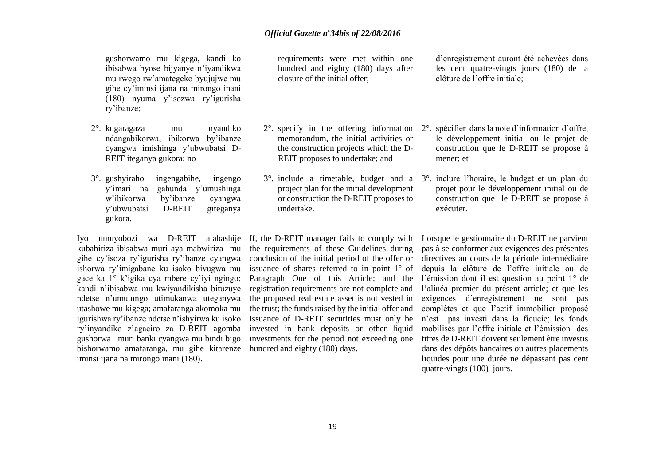gushorwamo mu kigega, kandi ko ibisabwa byose bijyanye n'iyandikwa mu rwego rw'amategeko byujujwe mu gihe cy'iminsi ijana na mirongo inani (180) nyuma y'isozwa ry'igurisha ry'ibanze;

- 2°. kugaragaza mu nyandiko ndangabikorwa, ibikorwa by'ibanze cyangwa imishinga y'ubwubatsi D-REIT iteganya gukora; no
- 3°. gushyiraho ingengabihe, ingengo y'imari na gahunda y'umushinga w'ibikorwa by'ibanze cyangwa y'ubwubatsi D-REIT giteganya gukora.

Iyo umuyobozi wa D-REIT atabashije kubahiriza ibisabwa muri aya mabwiriza mu gihe cy'isoza ry'igurisha ry'ibanze cyangwa ishorwa ry'imigabane ku isoko bivugwa mu gace ka 1° k'igika cya mbere cy'iyi ngingo; kandi n'ibisabwa mu kwiyandikisha bituzuye ndetse n'umutungo utimukanwa uteganywa utashowe mu kigega; amafaranga akomoka mu igurishwa ry'ibanze ndetse n'ishyirwa ku isoko ry'inyandiko z'agaciro za D-REIT agomba gushorwa muri banki cyangwa mu bindi bigo bishorwamo amafaranga, mu gihe kitarenze hundred and eighty (180) days. iminsi ijana na mirongo inani (180).

requirements were met within one hundred and eighty (180) days after closure of the initial offer;

- memorandum, the initial activities or the construction projects which the D-REIT proposes to undertake; and
- project plan for the initial development or construction the D-REIT proposes to undertake.

the requirements of these Guidelines during conclusion of the initial period of the offer or issuance of shares referred to in point 1° of Paragraph One of this Article; and the registration requirements are not complete and the proposed real estate asset is not vested in the trust; the funds raised by the initial offer and issuance of D-REIT securities must only be invested in bank deposits or other liquid investments for the period not exceeding one d'enregistrement auront été achevées dans les cent quatre-vingts jours (180) de la clôture de l'offre initiale;

- 2°. specify in the offering information 2°. spécifier dans la note d'information d'offre, le développement initial ou le projet de construction que le D-REIT se propose à mener; et
- 3°. include a timetable, budget and a 3°. inclure l'horaire, le budget et un plan du projet pour le développement initial ou de construction que le D-REIT se propose à exécuter.

If, the D-REIT manager fails to comply with Lorsque le gestionnaire du D-REIT ne parvient pas à se conformer aux exigences des présentes directives au cours de la période intermédiaire depuis la clôture de l'offre initiale ou de l'émission dont il est question au point 1° de l'alinéa premier du présent article; et que les exigences d'enregistrement ne sont pas complètes et que l'actif immobilier proposé n'est pas investi dans la fiducie; les fonds mobilisés par l'offre initiale et l'émission des titres de D-REIT doivent seulement être investis dans des dépôts bancaires ou autres placements liquides pour une durée ne dépassant pas cent quatre-vingts (180) jours.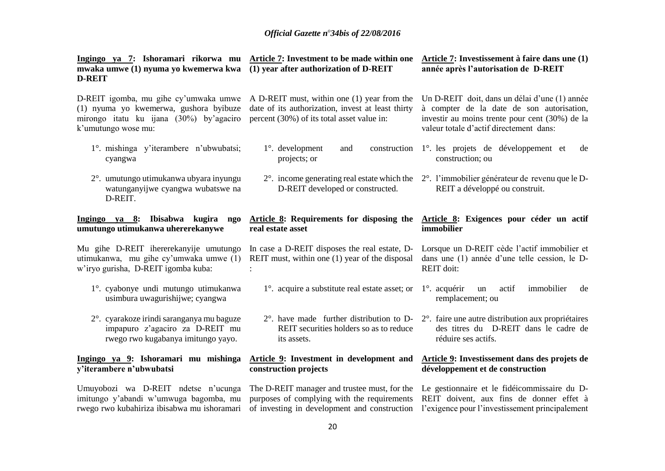| mwaka umwe (1) nyuma yo kwemerwa kwa (1) year after authorization of D-REIT<br><b>D-REIT</b>                                                      | Ingingo ya 7: Ishoramari rikorwa mu Article 7: Investment to be made within one                                                                | Article 7: Investissement à faire dans une (1)<br>année après l'autorisation de D-REIT                                                                                                  |
|---------------------------------------------------------------------------------------------------------------------------------------------------|------------------------------------------------------------------------------------------------------------------------------------------------|-----------------------------------------------------------------------------------------------------------------------------------------------------------------------------------------|
| D-REIT igomba, mu gihe cy'umwaka umwe<br>(1) nyuma yo kwemerwa, gushora byibuze<br>mirongo itatu ku ijana (30%) by'agaciro<br>k'umutungo wose mu: | A D-REIT must, within one (1) year from the<br>date of its authorization, invest at least thirty<br>percent (30%) of its total asset value in: | Un D-REIT doit, dans un délai d'une (1) année<br>à compter de la date de son autorisation,<br>investir au moins trente pour cent (30%) de la<br>valeur totale d'actif directement dans: |
| 1° mishinga y'iterambere n'ubwubatsi;<br>cyangwa                                                                                                  | $1^\circ$ . development<br>and<br>projects; or                                                                                                 | construction 1° les projets de développement et<br>de<br>construction; ou                                                                                                               |
| 2°. umutungo utimukanwa ubyara inyungu<br>watunganyijwe cyangwa wubatswe na<br>D-REIT.                                                            | D-REIT developed or constructed.                                                                                                               | 2°. income generating real estate which the 2°. l'immobilier générateur de revenu que le D-<br>REIT a développé ou construit.                                                           |
| Ingingo ya 8: Ibisabwa kugira ngo<br>umutungo utimukanwa uhererekanywe                                                                            | real estate asset                                                                                                                              | Article 8: Requirements for disposing the Article 8: Exigences pour céder un actif<br>immobilier                                                                                        |
|                                                                                                                                                   |                                                                                                                                                |                                                                                                                                                                                         |
| Mu gihe D-REIT ihererekanyije umutungo<br>utimukanwa, mu gihe cy'umwaka umwe (1)<br>w'iryo gurisha, D-REIT igomba kuba:                           | In case a D-REIT disposes the real estate, D-<br>REIT must, within one (1) year of the disposal                                                | Lorsque un D-REIT cède l'actif immobilier et<br>dans une (1) année d'une telle cession, le D-<br>REIT doit:                                                                             |
| 1° cyabonye undi mutungo utimukanwa<br>usimbura uwagurishijwe; cyangwa                                                                            | $1^\circ$ . acquire a substitute real estate asset; or $1^\circ$ . acquérir                                                                    | immobilier<br>actif<br>un<br>de<br>remplacement; ou                                                                                                                                     |
| 2°. cyarakoze irindi saranganya mu baguze<br>impapuro z'agaciro za D-REIT mu<br>rwego rwo kugabanya imitungo yayo.                                | REIT securities holders so as to reduce<br>its assets.                                                                                         | $2^{\circ}$ . have made further distribution to D- $2^{\circ}$ . faire une autre distribution aux propriétaires<br>des titres du D-REIT dans le cadre de<br>réduire ses actifs.         |
| Ingingo ya 9: Ishoramari mu mishinga<br>y'iterambere n'ubwubatsi                                                                                  | construction projects                                                                                                                          | Article 9: Investment in development and Article 9: Investissement dans des projets de<br>développement et de construction                                                              |

imitungo y'abandi w'umwuga bagomba, mu purposes of complying with the requirements REIT doivent, aux fins de donner effet à rwego rwo kubahiriza ibisabwa mu ishoramari of investing in development and construction l'exigence pour l'investissement principalement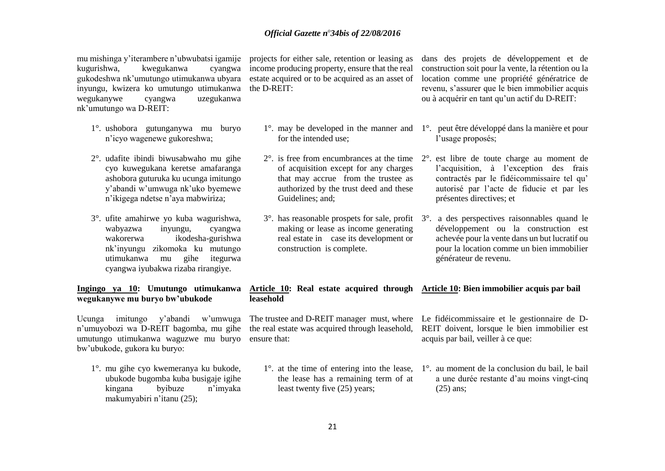mu mishinga y'iterambere n'ubwubatsi igamije kugurishwa, kwegukanwa cyangwa gukodeshwa nk'umutungo utimukanwa ubyara inyungu, kwizera ko umutungo utimukanwa wegukanywe cyangwa uzegukanwa nk'umutungo wa D-REIT:

- 1°. ushobora gutunganywa mu buryo n'icyo wagenewe gukoreshwa;
- 2°. udafite ibindi biwusabwaho mu gihe cyo kuwegukana keretse amafaranga ashobora guturuka ku ucunga imitungo y'abandi w'umwuga nk'uko byemewe n'ikigega ndetse n'aya mabwiriza;
- 3°. ufite amahirwe yo kuba wagurishwa, wabyazwa inyungu, cyangwa wakorerwa ikodesha-gurishwa nk'inyungu zikomoka ku mutungo utimukanwa mu gihe itegurwa cyangwa iyubakwa rizaba rirangiye.

**Ingingo ya 10: Umutungo utimukanwa wegukanywe mu buryo bw'ubukode**

Ucunga imitungo y'abandi w'umwuga n'umuyobozi wa D-REIT bagomba, mu gihe umutungo utimukanwa waguzwe mu buryo ensure that: bw'ubukode, gukora ku buryo:

1°. mu gihe cyo kwemeranya ku bukode, ubukode bugomba kuba busigaje igihe kingana byibuze n'imyaka makumyabiri n'itanu (25);

projects for either sale, retention or leasing as income producing property, ensure that the real estate acquired or to be acquired as an asset of the D-REIT:

- for the intended use;
- of acquisition except for any charges that may accrue from the trustee as authorized by the trust deed and these Guidelines; and;
- making or lease as income generating real estate in case its development or construction is complete.

dans des projets de développement et de construction soit pour la vente, la rétention ou la location comme une propriété génératrice de revenu, s'assurer que le bien immobilier acquis ou à acquérir en tant qu'un actif du D-REIT:

- 1°. may be developed in the manner and 1°. peut être développé dans la manière et pour l'usage proposés;
- 2°. is free from encumbrances at the time 2°. est libre de toute charge au moment de l'acquisition, à l'exception des frais contractés par le fidéicommissaire tel qu' autorisé par l'acte de fiducie et par les présentes directives; et
- 3°. has reasonable prospets for sale, profit 3°. a des perspectives raisonnables quand le développement ou la construction est achevée pour la vente dans un but lucratif ou pour la location comme un bien immobilier générateur de revenu.

#### **Article 10: Real estate acquired through Article 10: Bien immobilier acquis par bail leasehold**

The trustee and D-REIT manager must, where Le fidéicommissaire et le gestionnaire de Dthe real estate was acquired through leasehold,

the lease has a remaining term of at least twenty five (25) years;

REIT doivent, lorsque le bien immobilier est acquis par bail, veiller à ce que:

1°. at the time of entering into the lease, 1°. au moment de la conclusion du bail, le bail a une durée restante d'au moins vingt-cinq (25) ans;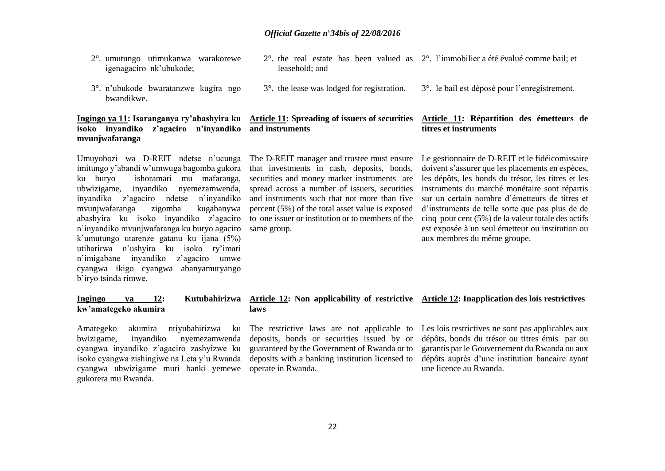- 2°. umutungo utimukanwa warakorewe igenagaciro nk'ubukode;
- 3°. n'ubukode bwaratanzwe kugira ngo bwandikwe.
- 2°. the real estate has been valued as 2°. l'immobilier a été évalué comme bail; et leasehold; and
- 3°. the lease was lodged for registration. 3°. le bail est déposé pour l'enregistrement.

**titres et instruments**

#### **Ingingo ya 11: Isaranganya ry'abashyira ku Article 11: Spreading of issuers of securities isoko inyandiko z'agaciro n'inyandiko mvunjwafaranga and instruments**

Umuyobozi wa D-REIT ndetse n'ucunga imitungo y'abandi w'umwuga bagomba gukora ku buryo ishoramari mu mafaranga, ubwizigame, inyandiko nyemezamwenda, inyandiko z'agaciro ndetse n'inyandiko mvunjwafaranga zigomba kugabanywa abashyira ku isoko inyandiko z'agaciro n'inyandiko mvunjwafaranga ku buryo agaciro k'umutungo utarenze gatanu ku ijana (5%) utiharirwa n'ushyira ku isoko ry'imari n'imigabane inyandiko z'agaciro umwe cyangwa ikigo cyangwa abanyamuryango b'iryo tsinda rimwe.

### **kw'amategeko akumira**

Amategeko akumira ntiyubahirizwa ku bwizigame, inyandiko nyemezamwenda cyangwa inyandiko z'agaciro zashyizwe ku isoko cyangwa zishingiwe na Leta y'u Rwanda cyangwa ubwizigame muri banki yemewe gukorera mu Rwanda.

The D-REIT manager and trustee must ensure that investments in cash, deposits, bonds, securities and money market instruments are and instruments such that not more than five percent (5%) of the total asset value is exposed same group.

spread across a number of issuers, securities instruments du marché monétaire sont répartis to one issuer or institution or to members of the cinq pour cent (5%) de la valeur totale des actifs Le gestionnaire de D-REIT et le fidéicomissaire doivent s'assurer que les placements en espèces, les dépôts, les bonds du trésor, les titres et les sur un certain nombre d'émetteurs de titres et d'instruments de telle sorte que pas plus de de est exposée à un seul émetteur ou institution ou aux membres du même groupe.

**Article 11: Répartition des émetteurs de** 

#### **Ingingo ya 12: Kutubahirizwa Article 12: Non applicability of restrictive Article 12: Inapplication des lois restrictives laws**

The restrictive laws are not applicable to deposits, bonds or securities issued by or guaranteed by the Government of Rwanda or to deposits with a banking institution licensed to operate in Rwanda.

Les lois restrictives ne sont pas applicables aux dépôts, bonds du trésor ou titres émis par ou garantis par le Gouvernement du Rwanda ou aux dépôts auprès d'une institution bancaire ayant une licence au Rwanda.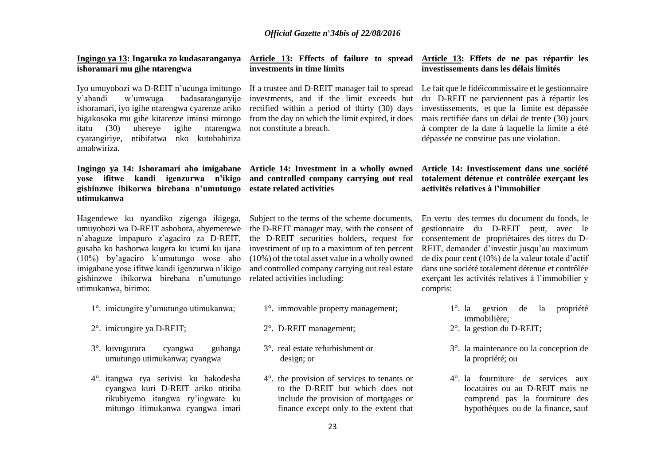| Ingingo ya 13: Ingaruka zo kudasaranganya<br>ishoramari mu gihe ntarengwa                                                                                                                                                                                                                                                              | Article 13: Effects of failure to spread<br>investments in time limits                                                                                                                                                                                                                                                              | Article 13: Effets de ne pas répartir les<br>investissements dans les délais limités                                                                                                                                                                                                                                                                            |
|----------------------------------------------------------------------------------------------------------------------------------------------------------------------------------------------------------------------------------------------------------------------------------------------------------------------------------------|-------------------------------------------------------------------------------------------------------------------------------------------------------------------------------------------------------------------------------------------------------------------------------------------------------------------------------------|-----------------------------------------------------------------------------------------------------------------------------------------------------------------------------------------------------------------------------------------------------------------------------------------------------------------------------------------------------------------|
| Iyo umuyobozi wa D-REIT n'ucunga imitungo<br>y'abandi<br>w'umwuga<br>badasaranganyije<br>ishoramari, iyo igihe ntarengwa cyarenze ariko<br>bigakosoka mu gihe kitarenze iminsi mirongo<br>(30)<br>uhereye<br>igihe<br>ntarengwa<br>itatu<br>ntibifatwa nko<br>kutubahiriza<br>cyarangiriye,<br>amabwiriza.                             | If a trustee and D-REIT manager fail to spread<br>investments, and if the limit exceeds but<br>rectified within a period of thirty (30) days<br>from the day on which the limit expired, it does<br>not constitute a breach.                                                                                                        | Le fait que le fidéicommissaire et le gestionnaire<br>du D-REIT ne parviennent pas à répartir les<br>investissements, et que la limite est dépassée<br>mais rectifiée dans un délai de trente (30) jours<br>à compter de la date à laquelle la limite a été<br>dépassée ne constitue pas une violation.                                                         |
| Ingingo ya 14: Ishoramari aho imigabane<br>yose ifitwe kandi igenzurwa n'ikigo<br>gishinzwe ibikorwa birebana n'umutungo<br>utimukanwa                                                                                                                                                                                                 | Article 14: Investment in a wholly owned<br>and controlled company carrying out real<br>estate related activities                                                                                                                                                                                                                   | Article 14: Investissement dans une société<br>totalement détenue et contrôlée exerçant les<br>activités relatives à l'immobilier                                                                                                                                                                                                                               |
| Hagendewe ku nyandiko zigenga ikigega,<br>umuyobozi wa D-REIT ashobora, abyemerewe<br>n'abaguze impapuro z'agaciro za D-REIT,<br>gusaba ko hashorwa kugera ku icumi ku ijana<br>(10%) by'agaciro k'umutungo wose aho<br>imigabane yose ifitwe kandi igenzurwa n'ikigo<br>gishinzwe ibikorwa birebana n'umutungo<br>utimukanwa, birimo: | Subject to the terms of the scheme documents,<br>the D-REIT manager may, with the consent of<br>the D-REIT securities holders, request for<br>investiment of up to a maximum of ten percent<br>(10%) of the total asset value in a wholly owned<br>and controlled company carrying out real estate<br>related activities including: | En vertu des termes du document du fonds, le<br>gestionnaire du D-REIT peut, avec le<br>consentement de propriétaires des titres du D-<br>REIT, demander d'investir jusqu'au maximum<br>de dix pour cent (10%) de la valeur totale d'actif<br>dans une société totalement détenue et contrôlée<br>exerçant les activités relatives à l'immobilier y<br>compris: |
| 1°. imicungire y'umutungo utimukanwa;                                                                                                                                                                                                                                                                                                  | 1° immovable property management;                                                                                                                                                                                                                                                                                                   | gestion<br>$1^\circ$ . la<br>de<br>la<br>propriété<br>immobilière;                                                                                                                                                                                                                                                                                              |
| 2° imicungire ya D-REIT;                                                                                                                                                                                                                                                                                                               | 2°. D-REIT management;                                                                                                                                                                                                                                                                                                              | 2°. la gestion du D-REIT;                                                                                                                                                                                                                                                                                                                                       |
| 3°. kuvugurura<br>guhanga<br>cyangwa<br>umutungo utimukanwa; cyangwa                                                                                                                                                                                                                                                                   | 3°. real estate refurbishment or<br>design; or                                                                                                                                                                                                                                                                                      | 3°. la maintenance ou la conception de<br>la propriété; ou                                                                                                                                                                                                                                                                                                      |
| 4° itangwa rya serivisi ku bakodesha<br>cyangwa kuri D-REIT ariko ntiriba<br>rikubiyemo itangwa ry'ingwate ku<br>mitungo itimukanwa cyangwa imari                                                                                                                                                                                      | 4° the provision of services to tenants or<br>to the D-REIT but which does not<br>include the provision of mortgages or<br>finance except only to the extent that                                                                                                                                                                   | 4° la fourniture de services aux<br>locataires ou au D-REIT mais ne<br>comprend pas la fourniture des<br>hypothèques ou de la finance, sauf                                                                                                                                                                                                                     |
|                                                                                                                                                                                                                                                                                                                                        | 23                                                                                                                                                                                                                                                                                                                                  |                                                                                                                                                                                                                                                                                                                                                                 |
|                                                                                                                                                                                                                                                                                                                                        |                                                                                                                                                                                                                                                                                                                                     |                                                                                                                                                                                                                                                                                                                                                                 |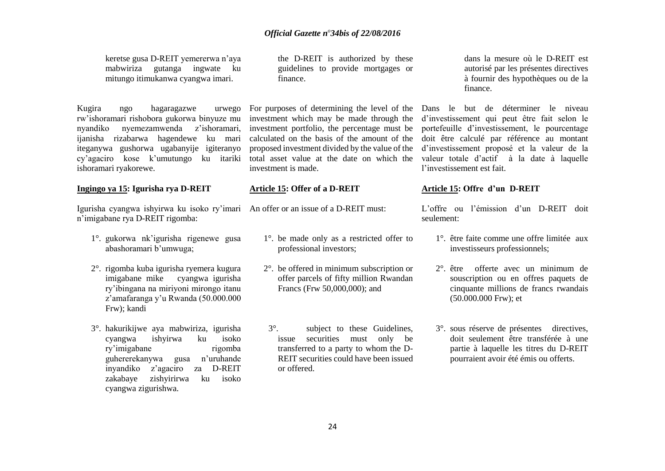keretse gusa D-REIT yemererwa n'aya mabwiriza gutanga ingwate ku mitungo itimukanwa cyangwa imari.

Kugira ngo hagaragazwe urwego rw'ishoramari rishobora gukorwa binyuze mu nyandiko nyemezamwenda z'ishoramari, ijanisha rizabarwa hagendewe ku mari iteganywa gushorwa ugabanyije igiteranyo cy'agaciro kose k'umutungo ku itariki ishoramari ryakorewe.

#### **Ingingo ya 15: Igurisha rya D-REIT**

Igurisha cyangwa ishyirwa ku isoko ry'imari An offer or an issue of a D-REIT must: n'imigabane rya D-REIT rigomba:

- 1°. gukorwa nk'igurisha rigenewe gusa abashoramari b'umwuga;
- 2°. rigomba kuba igurisha ryemera kugura imigabane mike cyangwa igurisha ry'ibingana na miriyoni mirongo itanu z'amafaranga y'u Rwanda (50.000.000 Frw); kandi
- 3°. hakurikijwe aya mabwiriza, igurisha cyangwa ishyirwa ku isoko ry'imigabane rigomba guhererekanywa gusa n'uruhande inyandiko z'agaciro za D-REIT zakabaye zishyirirwa ku isoko cyangwa zigurishwa.

the D-REIT is authorized by these guidelines to provide mortgages or finance.

For purposes of determining the level of the Dans le but de déterminer le niveau investment which may be made through the d'investissement qui peut être fait selon le investment portfolio, the percentage must be calculated on the basis of the amount of the doit être calculé par référence au montant proposed investment divided by the value of the d'investissement proposé et la valeur de la total asset value at the date on which the valeur totale d'actif à la date à laquelle investment is made.

#### **Article 15: Offer of a D-REIT**

- - 1°. be made only as a restricted offer to professional investors;
	- 2°. be offered in minimum subscription or offer parcels of fifty million Rwandan Francs (Frw 50,000,000); and
	- 3°. subject to these Guidelines, issue securities must only be transferred to a party to whom the D-REIT securities could have been issued or offered.

dans la mesure où le D-REIT est autorisé par les présentes directives à fournir des hypothèques ou de la finance.

portefeuille d'investissement, le pourcentage l'investissement est fait.

#### **Article 15: Offre d'un D-REIT**

L'offre ou l'émission d'un D-REIT doit seulement:

- 1°. être faite comme une offre limitée aux investisseurs professionnels;
- 2°. être offerte avec un minimum de souscription ou en offres paquets de cinquante millions de francs rwandais (50.000.000 Frw); et
- 3°. sous réserve de présentes directives, doit seulement être transférée à une partie à laquelle les titres du D-REIT pourraient avoir été émis ou offerts.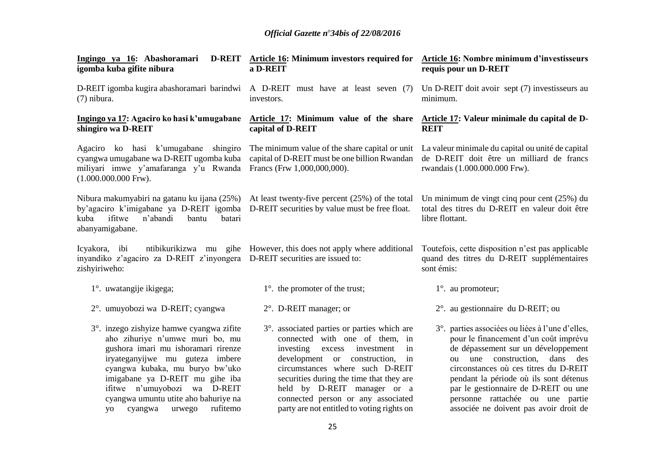| Ingingo ya 16: Abashoramari<br>igomba kuba gifite nibura                                                                                                                                                                                                                                                                                          | <b>D-REIT</b> Article 16: Minimum investors required for<br>a D-REIT                                                                                                                                                                                                                                                                                            | <b>Article 16: Nombre minimum d'investisseurs</b><br>requis pour un D-REIT                                                                                                                                                                                                                                                                                                   |
|---------------------------------------------------------------------------------------------------------------------------------------------------------------------------------------------------------------------------------------------------------------------------------------------------------------------------------------------------|-----------------------------------------------------------------------------------------------------------------------------------------------------------------------------------------------------------------------------------------------------------------------------------------------------------------------------------------------------------------|------------------------------------------------------------------------------------------------------------------------------------------------------------------------------------------------------------------------------------------------------------------------------------------------------------------------------------------------------------------------------|
| $(7)$ nibura.                                                                                                                                                                                                                                                                                                                                     | D-REIT igomba kugira abashoramari barindwi A D-REIT must have at least seven (7)<br>investors.                                                                                                                                                                                                                                                                  | Un D-REIT doit avoir sept (7) investisseurs au<br>minimum.                                                                                                                                                                                                                                                                                                                   |
| Ingingo ya 17: Agaciro ko hasi k'umugabane<br>shingiro wa D-REIT                                                                                                                                                                                                                                                                                  | Article 17: Minimum value of the share<br>capital of D-REIT                                                                                                                                                                                                                                                                                                     | Article 17: Valeur minimale du capital de D-<br><b>REIT</b>                                                                                                                                                                                                                                                                                                                  |
| Agaciro ko hasi k'umugabane shingiro<br>cyangwa umugabane wa D-REIT ugomba kuba<br>miliyari imwe y'amafaranga y'u Rwanda<br>$(1.000.000.000$ Frw).                                                                                                                                                                                                | The minimum value of the share capital or unit<br>capital of D-REIT must be one billion Rwandan<br>Francs (Frw 1,000,000,000).                                                                                                                                                                                                                                  | La valeur minimale du capital ou unité de capital<br>de D-REIT doit être un milliard de francs<br>rwandais (1.000.000.000 Frw).                                                                                                                                                                                                                                              |
| by agaciro k'imigabane ya D-REIT igomba D-REIT securities by value must be free float.<br>ifitwe<br>n'abandi<br>bantu<br>batari<br>kuba<br>abanyamigabane.                                                                                                                                                                                        | Nibura makumyabiri na gatanu ku ijana (25%) At least twenty-five percent (25%) of the total                                                                                                                                                                                                                                                                     | Un minimum de vingt cinq pour cent $(25%)$ du<br>total des titres du D-REIT en valeur doit être<br>libre flottant.                                                                                                                                                                                                                                                           |
| Icyakora, ibi<br>inyandiko z'agaciro za D-REIT z'inyongera D-REIT securities are issued to:<br>zishyiriweho:                                                                                                                                                                                                                                      | ntibikurikizwa mu gihe However, this does not apply where additional                                                                                                                                                                                                                                                                                            | Toutefois, cette disposition n'est pas applicable<br>quand des titres du D-REIT supplémentaires<br>sont émis:                                                                                                                                                                                                                                                                |
| 1°. uwatangije ikigega;                                                                                                                                                                                                                                                                                                                           | $1^\circ$ . the promoter of the trust;                                                                                                                                                                                                                                                                                                                          | $1^\circ$ . au promoteur;                                                                                                                                                                                                                                                                                                                                                    |
| 2° umuyobozi wa D-REIT; cyangwa                                                                                                                                                                                                                                                                                                                   | 2°. D-REIT manager; or                                                                                                                                                                                                                                                                                                                                          | 2° au gestionnaire du D-REIT; ou                                                                                                                                                                                                                                                                                                                                             |
| 3°. inzego zishyize hamwe cyangwa zifite<br>aho zihuriye n'umwe muri bo, mu<br>gushora imari mu ishoramari rirenze<br>iryateganyijwe mu guteza imbere<br>cyangwa kubaka, mu buryo bw'uko<br>imigabane ya D-REIT mu gihe iba<br>ifitwe n'umuyobozi wa D-REIT<br>cyangwa umuntu utite aho bahuriye na<br>rufitemo<br>cyangwa<br>urwego<br><b>VO</b> | 3° associated parties or parties which are<br>connected with one of them, in<br>investing<br>investment<br>excess<br>in<br>development or construction,<br>in<br>circumstances where such D-REIT<br>securities during the time that they are<br>held by D-REIT manager or a<br>connected person or any associated<br>party are not entitled to voting rights on | 3°. parties associées ou liées à l'une d'elles,<br>pour le financement d'un coût imprévu<br>de dépassement sur un développement<br>ou une construction, dans<br>des<br>circonstances où ces titres du D-REIT<br>pendant la période où ils sont détenus<br>par le gestionnaire de D-REIT ou une<br>personne rattachée ou une partie<br>associée ne doivent pas avoir droit de |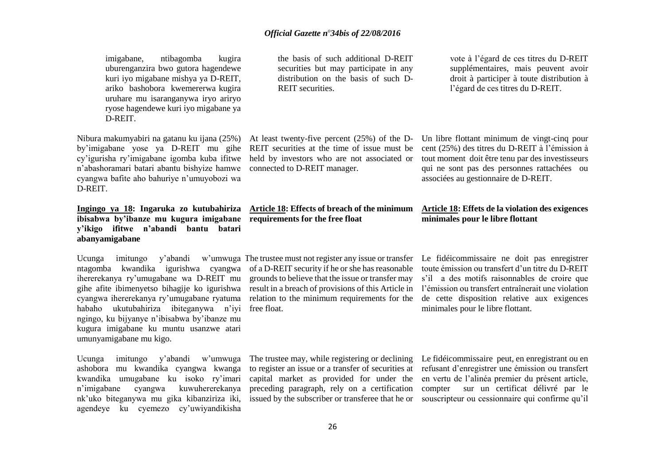imigabane, ntibagomba kugira uburenganzira bwo gutora hagendewe kuri iyo migabane mishya ya D-REIT, ariko bashobora kwemererwa kugira uruhare mu isaranganywa iryo ariryo ryose hagendewe kuri iyo migabane ya D-REIT.

Nibura makumyabiri na gatanu ku ijana (25%) by'imigabane yose ya D-REIT mu gihe cy'igurisha ry'imigabane igomba kuba ifitwe n'abashoramari batari abantu bishyize hamwe cyangwa bafite aho bahuriye n'umuyobozi wa D-REIT.

#### **Ingingo ya 18: Ingaruka zo kutubahiriza ibisabwa by'ibanze mu kugura imigabane requirements for the free float y'ikigo ifitwe n'abandi bantu batari abanyamigabane**

Ucunga imitungo y'abandi ntagomba kwandika igurishwa cyangwa ihererekanya ry'umugabane wa D-REIT mu gihe afite ibimenyetso bihagije ko igurishwa cyangwa ihererekanya ry'umugabane ryatuma habaho ukutubahiriza ibiteganywa n'iyi free float. ngingo, ku bijyanye n'ibisabwa by'ibanze mu kugura imigabane ku muntu usanzwe atari umunyamigabane mu kigo.

Ucunga imitungo y'abandi w'umwuga ashobora mu kwandika cyangwa kwanga kwandika umugabane ku isoko ry'imari n'imigabane cyangwa kuwuhererekanya nk'uko biteganywa mu gika kibanziriza iki, agendeye ku cyemezo cy'uwiyandikisha

the basis of such additional D-REIT securities but may participate in any distribution on the basis of such D-REIT securities.

REIT securities at the time of issue must be cent (25%) des titres du D-REIT à l'émission à held by investors who are not associated or tout moment doit être tenu par des investisseurs connected to D-REIT manager.

# **Article 18: Effects of breach of the minimum**

to register an issue or a transfer of securities at refusant d'enregistrer une émission ou transfert capital market as provided for under the en vertu de l'alinéa premier du présent article, preceding paragraph, rely on a certification compter sur un certificat délivré par le issued by the subscriber or transferee that he or souscripteur ou cessionnaire qui confirme qu'il

vote à l'égard de ces titres du D-REIT supplémentaires, mais peuvent avoir droit à participer à toute distribution à l'égard de ces titres du D-REIT.

At least twenty-five percent (25%) of the D-Un libre flottant minimum de vingt-cinq pour qui ne sont pas des personnes rattachées ou associées au gestionnaire de D-REIT.

#### **Article 18: Effets de la violation des exigences minimales pour le libre flottant**

**6.** The trustee must not register any issue or transfer Le fidéicommissaire ne doit pas enregistrer of a D-REIT security if he or she has reasonable toute émission ou transfert d'un titre du D-REIT grounds to believe that the issue or transfer may s'il a des motifs raisonnables de croire que result in a breach of provisions of this Article in l'émission ou transfert entraînerait une violation relation to the minimum requirements for the de cette disposition relative aux exigences minimales pour le libre flottant.

The trustee may, while registering or declining Le fidéicommissaire peut, en enregistrant ou en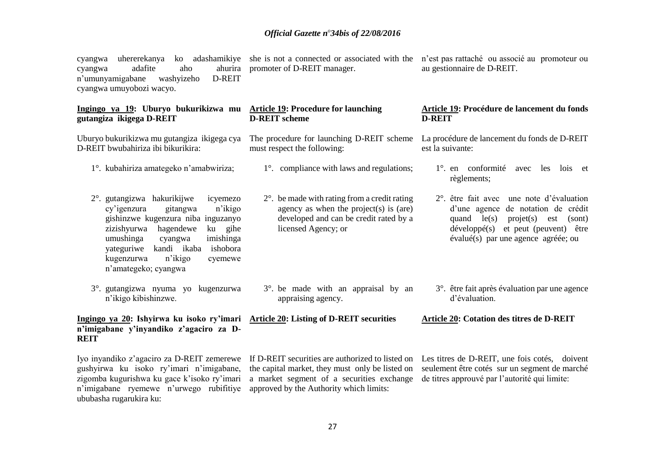| uhererekanya<br>cyangwa<br>adafite<br>aho<br>cyangwa<br>D-REIT<br>n'umunyamigabane<br>washyizeho<br>cyangwa umuyobozi wacyo.                                                                                                                                                                    | ko adashamikiye she is not a connected or associated with the<br>ahurira promoter of D-REIT manager.                                                                                        | n'est pas rattaché ou associé au promoteur ou<br>au gestionnaire de D-REIT.                                                                                                                                       |
|-------------------------------------------------------------------------------------------------------------------------------------------------------------------------------------------------------------------------------------------------------------------------------------------------|---------------------------------------------------------------------------------------------------------------------------------------------------------------------------------------------|-------------------------------------------------------------------------------------------------------------------------------------------------------------------------------------------------------------------|
| Ingingo ya 19: Uburyo bukurikizwa mu<br>gutangiza ikigega D-REIT                                                                                                                                                                                                                                | <b>Article 19: Procedure for launching</b><br><b>D-REIT</b> scheme                                                                                                                          | Article 19: Procédure de lancement du fonds<br><b>D-REIT</b>                                                                                                                                                      |
| Uburyo bukurikizwa mu gutangiza ikigega cya<br>D-REIT bwubahiriza ibi bikurikira:                                                                                                                                                                                                               | The procedure for launching D-REIT scheme<br>must respect the following:                                                                                                                    | La procédure de lancement du fonds de D-REIT<br>est la suivante:                                                                                                                                                  |
| 1°. kubahiriza amategeko n'amabwiriza;                                                                                                                                                                                                                                                          | 1°. compliance with laws and regulations;                                                                                                                                                   | $1^\circ$ . en conformité<br>lois<br>avec<br>les<br>et<br>règlements;                                                                                                                                             |
| 2° gutangizwa hakurikijwe<br>icyemezo<br>gitangwa<br>cy'igenzura<br>n'ikigo<br>gishinzwe kugenzura niba inguzanyo<br>zizishyurwa<br>hagendewe<br>ku gihe<br>umushinga<br>imishinga<br>cyangwa<br>yateguriwe<br>kandi ikaba ishobora<br>n'ikigo<br>kugenzurwa<br>cyemewe<br>n'amategeko; cyangwa | $2^{\circ}$ . be made with rating from a credit rating<br>agency as when the project(s) is (are)<br>developed and can be credit rated by a<br>licensed Agency; or                           | 2° être fait avec une note d'évaluation<br>d'une agence de notation de crédit<br>quand $le(s)$<br>project(s)<br>(sont)<br>est<br>$d$ éveloppé $(s)$ et peut (peuvent) être<br>évalué(s) par une agence agréée; ou |
| 3° gutangizwa nyuma yo kugenzurwa<br>n'ikigo kibishinzwe.                                                                                                                                                                                                                                       | 3° be made with an appraisal by an<br>appraising agency.                                                                                                                                    | 3°. être fait après évaluation par une agence<br>d'évaluation.                                                                                                                                                    |
| Ingingo ya 20: Ishyirwa ku isoko ry'imari Article 20: Listing of D-REIT securities<br>n'imigabane y'inyandiko z'agaciro za D-<br><b>REIT</b>                                                                                                                                                    |                                                                                                                                                                                             | <b>Article 20: Cotation des titres de D-REIT</b>                                                                                                                                                                  |
| Iyo inyandiko z'agaciro za D-REIT zemerewe<br>gushyirwa ku isoko ry'imari n'imigabane,<br>zigomba kugurishwa ku gace k'isoko ry'imari<br>n'imigabane ryemewe n'urwego rubifitiye<br>ububasha rugarukira ku:                                                                                     | If D-REIT securities are authorized to listed on<br>the capital market, they must only be listed on<br>a market segment of a securities exchange<br>approved by the Authority which limits: | Les titres de D-REIT, une fois cotés, doivent<br>seulement être cotés sur un segment de marché<br>de titres approuvé par l'autorité qui limite:                                                                   |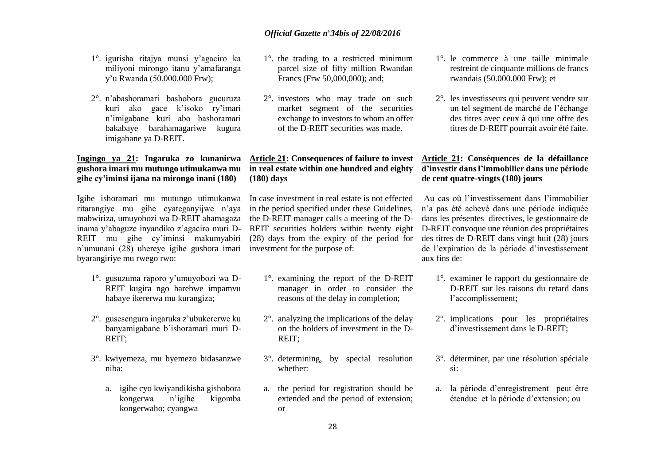- 1°. igurisha ritajya munsi y'agaciro ka miliyoni mirongo itanu y'amafaranga y'u Rwanda (50.000.000 Frw);
- 2°. n'abashoramari bashobora gucuruza kuri ako gace k'isoko ry'imari n'imigabane kuri abo bashoramari bakabaye barahamagariwe kugura imigabane ya D-REIT.

### **Ingingo ya 21: Ingaruka zo kunanirwa gushora imari mu mutungo utimukanwa mu gihe cy'iminsi ijana na mirongo inani (180)**

Igihe ishoramari mu mutungo utimukanwa ritarangiye mu gihe cyateganyijwe n'aya mabwiriza, umuyobozi wa D-REIT ahamagaza inama y'abaguze inyandiko z'agaciro muri D-REIT mu gihe cy'iminsi makumyabiri n'umunani (28) uhereye igihe gushora imari byarangiriye mu rwego rwo:

- 1°. gusuzuma raporo y'umuyobozi wa D-REIT kugira ngo harebwe impamvu habaye ikererwa mu kurangiza;
- 2°. gusesengura ingaruka z'ubukererwe ku banyamigabane b'ishoramari muri D-REIT;
- 3°. kwiyemeza, mu byemezo bidasanzwe niba:
	- a. igihe cyo kwiyandikisha gishobora kongerwa n'igihe kigomba kongerwaho; cyangwa
- 1°. the trading to a restricted minimum parcel size of fifty million Rwandan Francs (Frw 50,000,000); and;
- 2°. investors who may trade on such market segment of the securities exchange to investors to whom an offer of the D-REIT securities was made.

#### **Article 21: Consequences of failure to invest in real estate within one hundred and eighty (180) days**

In case investment in real estate is not effected in the period specified under these Guidelines, the D-REIT manager calls a meeting of the D-REIT securities holders within twenty eight (28) days from the expiry of the period for investment for the purpose of:

- 1°. examining the report of the D-REIT manager in order to consider the reasons of the delay in completion;
- 2°. analyzing the implications of the delay on the holders of investment in the D-REIT;
- 3°. determining, by special resolution whether:
- a. the period for registration should be extended and the period of extension; or
- 1°. le commerce à une taille minimale restreint de cinquante millions de francs rwandais (50.000.000 Frw); et
- 2°. les investisseurs qui peuvent vendre sur un tel segment de marché de l'échange des titres avec ceux à qui une offre des titres de D-REIT pourrait avoir été faite.

### **Article 21: Conséquences de la défaillance d'investir dans l'immobilier dans une période de cent quatre-vingts (180) jours**

Au cas où l'investissement dans l'immobilier n'a pas été achevé dans une période indiquée dans les présentes directives, le gestionnaire de D-REIT convoque une réunion des propriétaires des titres de D-REIT dans vingt huit (28) jours de l'expiration de la période d'investissement aux fins de:

- 1°. examiner le rapport du gestionnaire de D-REIT sur les raisons du retard dans l'accomplissement;
- 2°. implications pour les propriétaires d'investissement dans le D-REIT;
- 3°. déterminer, par une résolution spéciale si:
- a. la période d'enregistrement peut être étendue et la période d'extension; ou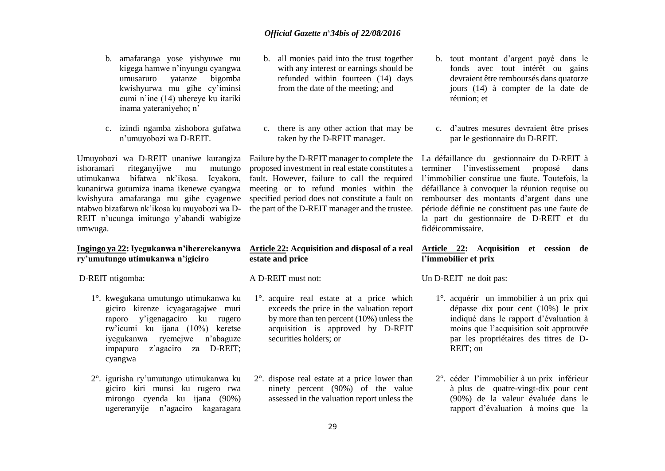- b. amafaranga yose yishyuwe mu kigega hamwe n'inyungu cyangwa umusaruro yatanze bigomba kwishyurwa mu gihe cy'iminsi cumi n'ine (14) uhereye ku itariki inama yateraniyeho; n'
- c. izindi ngamba zishobora gufatwa n'umuyobozi wa D-REIT.

Umuyobozi wa D-REIT unaniwe kurangiza ishoramari riteganyijwe mu mutungo utimukanwa bifatwa nk'ikosa. Icyakora, kunanirwa gutumiza inama ikenewe cyangwa kwishyura amafaranga mu gihe cyagenwe ntabwo bizafatwa nk'ikosa ku muyobozi wa D-REIT n'ucunga imitungo y'abandi wabigize umwuga.

#### **Ingingo ya 22: Iyegukanwa n'ihererekanywa ry'umutungo utimukanwa n'igiciro**

D-REIT ntigomba:

- 1°. kwegukana umutungo utimukanwa ku giciro kirenze icyagaragajwe muri raporo y'igenagaciro ku rugero rw'icumi ku ijana (10%) keretse iyegukanwa ryemejwe n'abaguze impapuro z'agaciro za D-REIT; cyangwa
- 2°. igurisha ry'umutungo utimukanwa ku giciro kiri munsi ku rugero rwa mirongo cyenda ku ijana (90%) ugereranyije n'agaciro kagaragara
- b. all monies paid into the trust together with any interest or earnings should be refunded within fourteen (14) days from the date of the meeting; and
- c. there is any other action that may be taken by the D-REIT manager.

Failure by the D-REIT manager to complete the La défaillance du gestionnaire du D-REIT à the part of the D-REIT manager and the trustee.

#### **Article 22: Acquisition and disposal of a real estate and price**

A D-REIT must not:

- 1°. acquire real estate at a price which exceeds the price in the valuation report by more than ten percent (10%) unless the acquisition is approved by D-REIT securities holders; or
- 2°. dispose real estate at a price lower than ninety percent (90%) of the value assessed in the valuation report unless the
- b. tout montant d'argent payé dans le fonds avec tout intérêt ou gains devraient être remboursés dans quatorze jours (14) à compter de la date de réunion; et
- c. d'autres mesures devraient être prises par le gestionnaire du D-REIT.

proposed investment in real estate constitutes a terminer l'investissement proposé dans fault. However, failure to call the required l'immobilier constitue une faute. Toutefois, la meeting or to refund monies within the défaillance à convoquer la réunion requise ou specified period does not constitute a fault on rembourser des montants d'argent dans une période définie ne constituent pas une faute de la part du gestionnaire de D-REIT et du fidéicommissaire.

#### **Article 22: Acquisition et cession de l'immobilier et prix**

#### Un D-REIT ne doit pas:

- 1°. acquérir un immobilier à un prix qui dépasse dix pour cent (10%) le prix indiqué dans le rapport d'évaluation à moins que l'acquisition soit approuvée par les propriétaires des titres de D-REIT; ou
- 2°. céder l'immobilier à un prix inférieur à plus de quatre-vingt-dix pour cent (90%) de la valeur évaluée dans le rapport d'évaluation à moins que la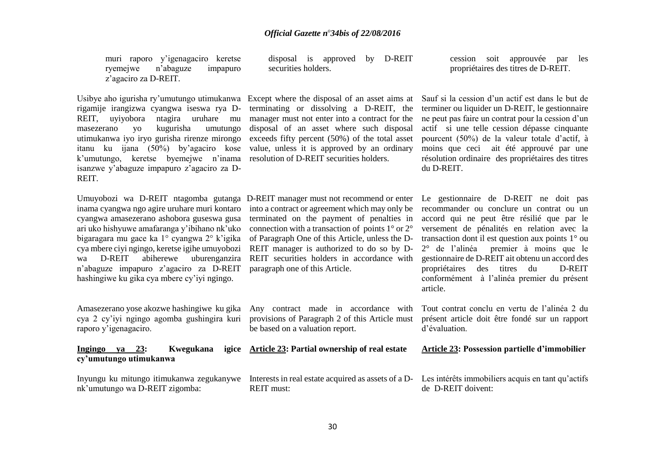muri raporo y'igenagaciro keretse ryemejwe n'abaguze impapuro z'agaciro za D-REIT.

rigamije irangizwa cyangwa iseswa rya D-REIT, uyiyobora ntagira uruhare mu masezerano yo kugurisha umutungo utimukanwa iyo iryo gurisha rirenze mirongo itanu ku ijana (50%) by'agaciro kose k'umutungo, keretse byemejwe n'inama isanzwe y'abaguze impapuro z'agaciro za D-REIT.

inama cyangwa ngo agire uruhare muri kontaro cyangwa amasezerano ashobora guseswa gusa ari uko hishyuwe amafaranga y'ibihano nk'uko bigaragara mu gace ka 1° cyangwa 2° k'igika cya mbere ciyi ngingo, keretse igihe umuyobozi wa D-REIT abiherewe uburenganzira n'abaguze impapuro z'agaciro za D-REIT hashingiwe ku gika cya mbere cy'iyi ngingo.

Amasezerano yose akozwe hashingiwe ku gika cya 2 cy'iyi ngingo agomba gushingira kuri raporo y'igenagaciro.

#### **Ingingo ya 23: Kwegukana igice Article 23: Partial ownership of real estate cy'umutungo utimukanwa**

disposal is approved by D-REIT securities holders.

Usibye aho igurisha ry'umutungo utimukanwa Except where the disposal of an asset aims at terminating or dissolving a D-REIT, the manager must not enter into a contract for the disposal of an asset where such disposal exceeds fifty percent (50%) of the total asset value, unless it is approved by an ordinary resolution of D-REIT securities holders.

Umuyobozi wa D-REIT ntagomba gutanga D-REIT manager must not recommend or enter Le gestionnaire de D-REIT ne doit pas into a contract or agreement which may only be terminated on the payment of penalties in connection with a transaction of points 1° or 2° of Paragraph One of this Article, unless the D-REIT manager is authorized to do so by Dparagraph one of this Article.

> Any contract made in accordance with provisions of Paragraph 2 of this Article must be based on a valuation report.

cession soit approuvée par les propriétaires des titres de D-REIT.

Sauf si la cession d'un actif est dans le but de terminer ou liquider un D-REIT, le gestionnaire ne peut pas faire un contrat pour la cession d'un actif si une telle cession dépasse cinquante pourcent (50%) de la valeur totale d'actif, à moins que ceci ait été approuvé par une résolution ordinaire des propriétaires des titres du D-REIT.

REIT securities holders in accordance with gestionnaire de D-REIT ait obtenu un accord des recommander ou conclure un contrat ou un accord qui ne peut être résilié que par le versement de pénalités en relation avec la transaction dont il est question aux points 1° ou 2° de l'alinéa premier à moins que le propriétaires des titres du D-REIT conformément à l'alinéa premier du présent article.

> Tout contrat conclu en vertu de l'alinéa 2 du présent article doit être fondé sur un rapport d'évaluation.

#### **Article 23: Possession partielle d'immobilier**

Inyungu ku mitungo itimukanwa zegukanywe Interests in real estate acquired as assets of a D- Les intérêts immobiliers acquis en tant qu'actifs nk'umutungo wa D-REIT zigomba: REIT must: de D-REIT doivent: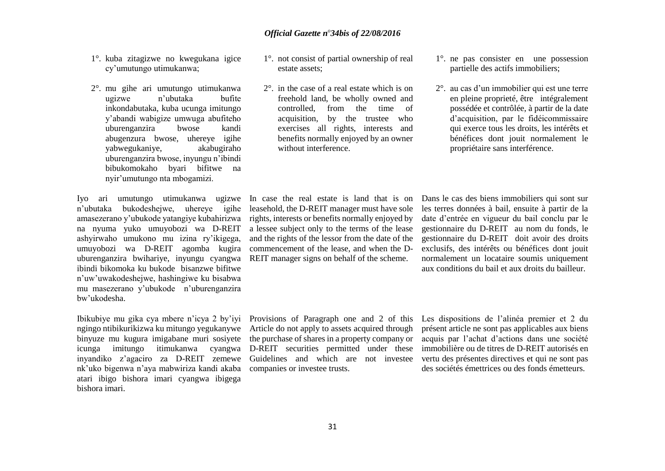- 1°. kuba zitagizwe no kwegukana igice cy'umutungo utimukanwa;
- 2°. mu gihe ari umutungo utimukanwa ugizwe n'ubutaka bufite inkondabutaka, kuba ucunga imitungo y'abandi wabigize umwuga abufiteho uburenganzira bwose kandi abugenzura bwose, uhereye igihe yabwegukaniye, akabugiraho uburenganzira bwose, inyungu n'ibindi bibukomokaho byari bifitwe na nyir'umutungo nta mbogamizi.

Iyo ari umutungo utimukanwa ugizwe In case the real estate is land that is on Dans le cas des biens immobiliers qui sont sur n'ubutaka bukodeshejwe, uhereye igihe amasezerano y'ubukode yatangiye kubahirizwa na nyuma yuko umuyobozi wa D-REIT ashyirwaho umukono mu izina ry'ikigega, umuyobozi wa D-REIT agomba kugira uburenganzira bwihariye, inyungu cyangwa ibindi bikomoka ku bukode bisanzwe bifitwe n'uw'uwakodeshejwe, hashingiwe ku bisabwa mu masezerano y'ubukode n'uburenganzira bw'ukodesha.

Ibikubiye mu gika cya mbere n'icya 2 by'iyi ngingo ntibikurikizwa ku mitungo yegukanywe binyuze mu kugura imigabane muri sosiyete icunga imitungo itimukanwa cyangwa D-REIT securities permitted under these inyandiko z'agaciro za D-REIT zemewe nk'uko bigenwa n'aya mabwiriza kandi akaba atari ibigo bishora imari cyangwa ibigega bishora imari.

- 1°. not consist of partial ownership of real estate assets;
- 2°. in the case of a real estate which is on freehold land, be wholly owned and controlled, from the time of acquisition, by the trustee who exercises all rights, interests and benefits normally enjoyed by an owner without interference.

leasehold, the D-REIT manager must have sole rights, interests or benefits normally enjoyed by a lessee subject only to the terms of the lease and the rights of the lessor from the date of the commencement of the lease, and when the D-REIT manager signs on behalf of the scheme.

Provisions of Paragraph one and 2 of this Article do not apply to assets acquired through the purchase of shares in a property company or Guidelines and which are not investee companies or investee trusts.

- 1°. ne pas consister en une possession partielle des actifs immobiliers;
- 2°. au cas d'un immobilier qui est une terre en pleine proprieté, être intégralement possédée et contrôlée, à partir de la date d'acquisition, par le fidéicommissaire qui exerce tous les droits, les intérêts et bénéfices dont jouit normalement le propriétaire sans interférence.

les terres données à bail, ensuite à partir de la date d'entrée en vigueur du bail conclu par le gestionnaire du D-REIT au nom du fonds, le gestionnaire du D-REIT doit avoir des droits exclusifs, des intérêts ou bénéfices dont jouit normalement un locataire soumis uniquement aux conditions du bail et aux droits du bailleur.

Les dispositions de l'alinéa premier et 2 du présent article ne sont pas applicables aux biens acquis par l'achat d'actions dans une société immobilière ou de titres de D-REIT autorisés en vertu des présentes directives et qui ne sont pas des sociétés émettrices ou des fonds émetteurs.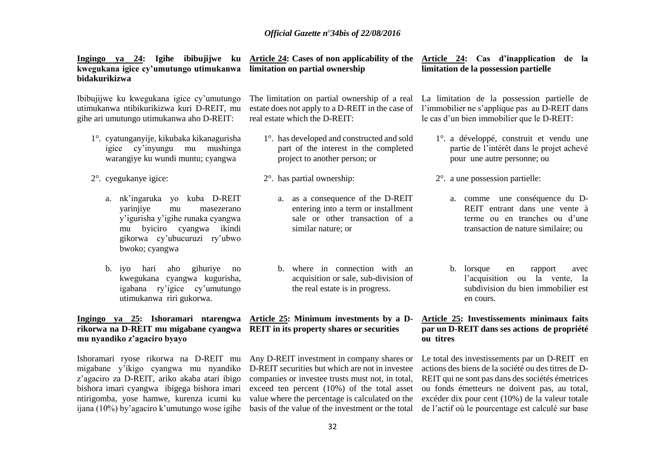**Article 24: Cases of non applicability of the** 

**Ingingo ya 24: Igihe ibibujijwe ku kwegukana igice cy'umutungo utimukanwa limitation on partial ownership bidakurikizwa**

Ibibujijwe ku kwegukana igice cy'umutungo utimukanwa ntibikurikizwa kuri D-REIT, mu gihe ari umutungo utimukanwa aho D-REIT:

1°. cyatunganyije, kikubaka kikanagurisha igice cy'inyungu mu mushinga warangiye ku wundi muntu; cyangwa

2°. cyegukanye igice:

- a. nk'ingaruka yo kuba D-REIT yarinjiye mu masezerano y'igurisha y'igihe runaka cyangwa mu byiciro cyangwa ikindi gikorwa cy'ubucuruzi ry'ubwo bwoko; cyangwa
- b. iyo hari aho gihuriye no kwegukana cyangwa kugurisha, igabana ry'igice cy'umutungo utimukanwa riri gukorwa.

#### **Ingingo ya 25: Ishoramari ntarengwa Article 25: Minimum investments by a Drikorwa na D-REIT mu migabane cyangwa REIT in its property shares or securities mu nyandiko z'agaciro byayo**

Ishoramari ryose rikorwa na D-REIT mu Any D-REIT investment in company shares or Le total des investissements par un D-REIT en migabane y'ikigo cyangwa mu nyandiko z'agaciro za D-REIT, ariko akaba atari ibigo bishora imari cyangwa ibigega bishora imari ntirigomba, yose hamwe, kurenza icumi ku

The limitation on partial ownership of a real La limitation de la possession partielle de estate does not apply to a D-REIT in the case of l'immobilier ne s'applique pas au D-REIT dans real estate which the D-REIT:

- 1°. has developed and constructed and sold part of the interest in the completed project to another person; or
- 2°. has partial ownership:
	- a. as a consequence of the D-REIT entering into a term or installment sale or other transaction of a similar nature; or
	- b. where in connection with an acquisition or sale, sub-division of the real estate is in progress.

D-REIT securities but which are not in investee companies or investee trusts must not, in total, exceed ten percent (10%) of the total asset value where the percentage is calculated on the

**Article 24: Cas d'inapplication de la limitation de la possession partielle**

le cas d'un bien immobilier que le D-REIT:

- 1°. a développé, construit et vendu une partie de l'intérêt dans le projet achevé pour une autre personne; ou
- 2°. a une possession partielle:
	- a. comme une conséquence du D-REIT entrant dans une vente à terme ou en tranches ou d'une transaction de nature similaire; ou
	- b. lorsque en rapport avec l'acquisition ou la vente, la subdivision du bien immobilier est en cours.

### **Article 25: Investissements minimaux faits par un D-REIT dans ses actions de propriété ou titres**

ijana (10%) by'agaciro k'umutungo wose igihe basis of the value of the investment or the total de l'actif où le pourcentage est calculé sur base actions des biens de la société ou des titres de D-REIT qui ne sont pas dans des sociétés émetrices ou fonds émetteurs ne doivent pas, au total, excéder dix pour cent (10%) de la valeur totale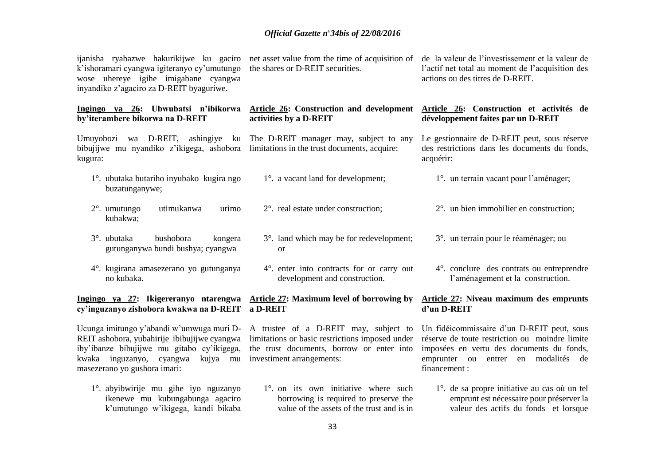| ijanisha ryabazwe hakurikijwe ku gaciro<br>k'ishoramari cyangwa igiteranyo cy'umutungo<br>wose uhereye igihe imigabane cyangwa<br>inyandiko z'agaciro za D-REIT byaguriwe.                                      | net asset value from the time of acquisition of<br>the shares or D-REIT securities.                                                                                | de la valeur de l'investissement et la valeur de<br>l'actif net total au moment de l'acquisition des<br>actions ou des titres de D-REIT.                                                         |
|-----------------------------------------------------------------------------------------------------------------------------------------------------------------------------------------------------------------|--------------------------------------------------------------------------------------------------------------------------------------------------------------------|--------------------------------------------------------------------------------------------------------------------------------------------------------------------------------------------------|
| Ingingo ya 26: Ubwubatsi n'ibikorwa<br>by'iterambere bikorwa na D-REIT                                                                                                                                          | Article 26: Construction and development<br>activities by a D-REIT                                                                                                 | Article 26: Construction et activités de<br>développement faites par un D-REIT                                                                                                                   |
| Umuyobozi wa D-REIT, ashingiye ku<br>bibujijwe mu nyandiko z'ikigega, ashobora limitations in the trust documents, acquire:<br>kugura:                                                                          | The D-REIT manager may, subject to any                                                                                                                             | Le gestionnaire de D-REIT peut, sous réserve<br>des restrictions dans les documents du fonds,<br>acquérir:                                                                                       |
| 1°. ubutaka butariho inyubako kugira ngo<br>buzatunganywe;                                                                                                                                                      | 1°. a vacant land for development;                                                                                                                                 | 1°. un terrain vacant pour l'aménager;                                                                                                                                                           |
| $2^\circ$ . umutungo<br>utimukanwa<br>urimo<br>kubakwa;                                                                                                                                                         | 2° real estate under construction;                                                                                                                                 | 2° un bien immobilier en construction;                                                                                                                                                           |
| 3°. ubutaka<br>bushobora<br>kongera<br>gutunganywa bundi bushya; cyangwa                                                                                                                                        | 3°. land which may be for redevelopment;<br><sub>or</sub>                                                                                                          | 3°. un terrain pour le réaménager; ou                                                                                                                                                            |
| 4°. kugirana amasezerano yo gutunganya<br>no kubaka.                                                                                                                                                            | 4° enter into contracts for or carry out<br>development and construction.                                                                                          | 4° conclure des contrats ou entreprendre<br>l'aménagement et la construction.                                                                                                                    |
| Ingingo ya 27: Ikigereranyo ntarengwa<br>cy'inguzanyo zishobora kwakwa na D-REIT                                                                                                                                | Article 27: Maximum level of borrowing by<br>a D-REIT                                                                                                              | Article 27: Niveau maximum des emprunts<br>d'un D-REIT                                                                                                                                           |
| Ucunga imitungo y'abandi w'umwuga muri D-<br>REIT ashobora, yubahirije ibibujijwe cyangwa<br>iby'ibanze bibujijwe mu gitabo cy'ikigega,<br>kwaka inguzanyo, cyangwa<br>kujya mu<br>masezerano yo gushora imari: | A trustee of a D-REIT may, subject to<br>limitations or basic restrictions imposed under<br>the trust documents, borrow or enter into<br>investiment arrangements: | Un fidéicommissaire d'un D-REIT peut, sous<br>réserve de toute restriction ou moindre limite<br>imposées en vertu des documents du fonds,<br>emprunter ou entrer en modalités de<br>financement: |
| 1° abyibwirije mu gihe iyo nguzanyo<br>ikenewe mu kubungabunga agaciro<br>k'umutungo w'ikigega, kandi bikaba                                                                                                    | 1° on its own initiative where such<br>borrowing is required to preserve the<br>value of the assets of the trust and is in                                         | 1° de sa propre initiative au cas où un tel<br>emprunt est nécessaire pour préserver la<br>valeur des actifs du fonds et lorsque                                                                 |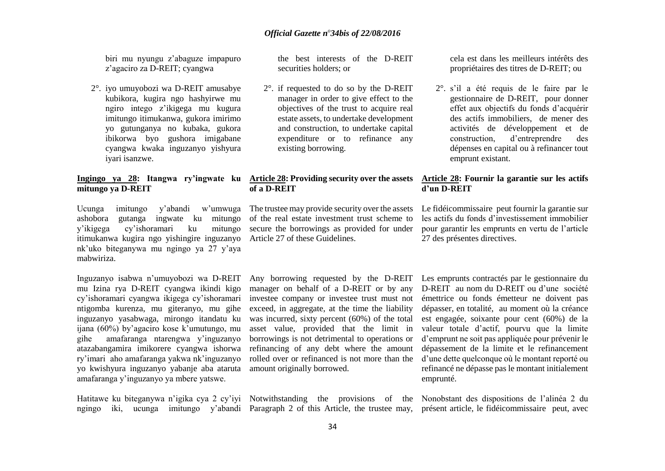biri mu nyungu z'abaguze impapuro z'agaciro za D-REIT; cyangwa

2°. iyo umuyobozi wa D-REIT amusabye kubikora, kugira ngo hashyirwe mu ngiro intego z'ikigega mu kugura imitungo itimukanwa, gukora imirimo yo gutunganya no kubaka, gukora ibikorwa byo gushora imigabane cyangwa kwaka inguzanyo yishyura iyari isanzwe.

### **mitungo ya D-REIT**

Ucunga imitungo y'abandi w'umwuga ashobora gutanga ingwate ku mitungo y'ikigega cy'ishoramari ku mitungo itimukanwa kugira ngo yishingire inguzanyo nk'uko biteganywa mu ngingo ya 27 y'aya mabwiriza.

Inguzanyo isabwa n'umuyobozi wa D-REIT mu Izina rya D-REIT cyangwa ikindi kigo cy'ishoramari cyangwa ikigega cy'ishoramari ntigomba kurenza, mu giteranyo, mu gihe inguzanyo yasabwaga, mirongo itandatu ku ijana (60%) by'agaciro kose k'umutungo, mu gihe amafaranga ntarengwa y'inguzanyo atazabangamira imikorere cyangwa ishorwa ry'imari aho amafaranga yakwa nk'inguzanyo yo kwishyura inguzanyo yabanje aba ataruta amafaranga y'inguzanyo ya mbere yatswe.

the best interests of the D-REIT securities holders; or

2°. if requested to do so by the D-REIT manager in order to give effect to the objectives of the trust to acquire real estate assets, to undertake development and construction, to undertake capital expenditure or to refinance any existing borrowing.

#### **Ingingo ya 28: Itangwa ry'ingwate ku Article 28: Providing security over the assets of a D-REIT**

of the real estate investment trust scheme to secure the borrowings as provided for under Article 27 of these Guidelines.

exceed, in aggregate, at the time the liability was incurred, sixty percent (60%) of the total asset value, provided that the limit in borrowings is not detrimental to operations or refinancing of any debt where the amount rolled over or refinanced is not more than the amount originally borrowed.

Hatitawe ku biteganywa n'igika cya 2 cy'iyi Notwithstanding the provisions of the Nonobstant des dispositions de l'alinéa 2 du ngingo iki, ucunga imitungo y'abandi Paragraph 2 of this Article, the trustee may, présent article, le fidéicommissaire peut, avec

cela est dans les meilleurs intérêts des propriétaires des titres de D-REIT; ou

2°. s'il a été requis de le faire par le gestionnaire de D-REIT, pour donner effet aux objectifs du fonds d'acquérir des actifs immobiliers, de mener des activités de développement et de construction, d'entreprendre des dépenses en capital ou à refinancer tout emprunt existant.

#### **Article 28: Fournir la garantie sur les actifs d'un D-REIT**

The trustee may provide security over the assets Le fidéicommissaire peut fournir la garantie sur les actifs du fonds d'investissement immobilier pour garantir les emprunts en vertu de l'article 27 des présentes directives.

Any borrowing requested by the D-REIT Les emprunts contractés par le gestionnaire du manager on behalf of a D-REIT or by any D-REIT au nom du D-REIT ou d'une société investee company or investee trust must not émettrice ou fonds émetteur ne doivent pas dépasser, en totalité, au moment où la créance est engagée, soixante pour cent (60%) de la valeur totale d'actif, pourvu que la limite d'emprunt ne soit pas appliquée pour prévenir le dépassement de la limite et le refinancement d'une dette quelconque où le montant reporté ou refinancé ne dépasse pas le montant initialement emprunté.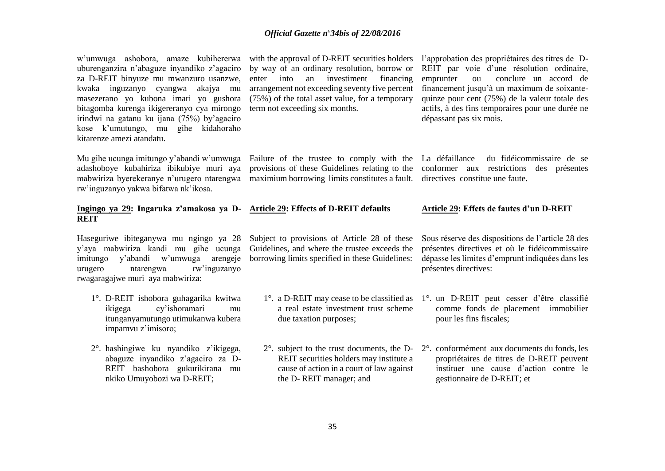w'umwuga ashobora, amaze kubihererwa uburenganzira n'abaguze inyandiko z'agaciro za D-REIT binyuze mu mwanzuro usanzwe, kwaka inguzanyo cyangwa akajya mu masezerano yo kubona imari yo gushora bitagomba kurenga ikigereranyo cya mirongo irindwi na gatanu ku ijana (75%) by'agaciro kose k'umutungo, mu gihe kidahoraho kitarenze amezi atandatu.

Mu gihe ucunga imitungo y'abandi w'umwuga Failure of the trustee to comply with the La défaillance du fidéicommissaire de se rw'inguzanyo yakwa bifatwa nk'ikosa.

enter into an investiment financing arrangement not exceeding seventy five percent (75%) of the total asset value, for a temporary term not exceeding six months.

with the approval of D-REIT securities holders l'approbation des propriétaires des titres de Dby way of an ordinary resolution, borrow or REIT par voie d'une résolution ordinaire, emprunter ou conclure un accord de financement jusqu'à un maximum de soixantequinze pour cent (75%) de la valeur totale des actifs, à des fins temporaires pour une durée ne dépassant pas six mois.

adashoboye kubahiriza ibikubiye muri aya provisions of these Guidelines relating to the conformer aux restrictions des présentes mabwiriza byerekeranye n'urugero ntarengwa maximium borrowing limits constitutes a fault. directives constitue une faute.

présentes directives et où le fidéicommissaire dépasse les limites d'emprunt indiquées dans les

présentes directives:

| Ingingo ya 29: Ingaruka z'amakosa ya D- Article 29: Effects of D-REIT defaults | Article 29: Effets de fautes d'un D-REIT |
|--------------------------------------------------------------------------------|------------------------------------------|
| <b>REIT</b>                                                                    |                                          |

y'aya mabwiriza kandi mu gihe ucunga imitungo y'abandi w'umwuga arengeje urugero ntarengwa rw'inguzanyo rwagaragajwe muri aya mabwiriza:

- 1°. D-REIT ishobora guhagarika kwitwa ikigega cy'ishoramari mu itunganyamutungo utimukanwa kubera impamvu z'imisoro;
- 2°. hashingiwe ku nyandiko z'ikigega, abaguze inyandiko z'agaciro za D-REIT bashobora gukurikirana mu nkiko Umuyobozi wa D-REIT;

Haseguriwe ibiteganywa mu ngingo ya 28 Subject to provisions of Article 28 of these Sous réserve des dispositions de l'article 28 des Guidelines, and where the trustee exceeds the borrowing limits specified in these Guidelines:

- 1°. a D-REIT may cease to be classified as 1°. un D-REIT peut cesser d'être classifié a real estate investment trust scheme due taxation purposes; comme fonds de placement immobilier pour les fins fiscales;
- 2°. subject to the trust documents, the D-2°. conformément aux documents du fonds, les REIT securities holders may institute a cause of action in a court of law against the D- REIT manager; and propriétaires de titres de D-REIT peuvent instituer une cause d'action contre le gestionnaire de D-REIT; et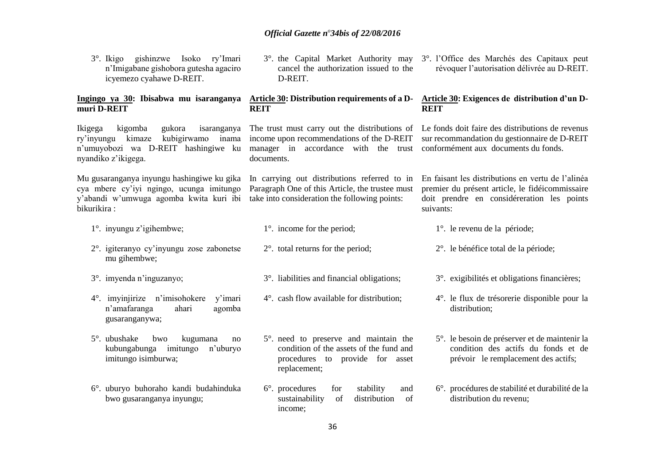| $3^\circ$ . Ikigo<br>gishinzwe Isoko ry'Imari<br>n'Imigabane gishobora gutesha agaciro<br>icyemezo cyahawe D-REIT.                                     | 3° the Capital Market Authority may<br>cancel the authorization issued to the<br>D-REIT.                                                         | 3°. l'Office des Marchés des Capitaux peut<br>révoquer l'autorisation délivrée au D-REIT.                                                                       |
|--------------------------------------------------------------------------------------------------------------------------------------------------------|--------------------------------------------------------------------------------------------------------------------------------------------------|-----------------------------------------------------------------------------------------------------------------------------------------------------------------|
| Ingingo ya 30: Ibisabwa mu isaranganya<br>muri D-REIT                                                                                                  | Article 30: Distribution requirements of a D-<br><b>REIT</b>                                                                                     | Article 30: Exigences de distribution d'un D-<br><b>REIT</b>                                                                                                    |
| kigomba<br>Ikigega<br>gukora<br>isaranganya<br>ry'inyungu kimaze<br>kubigirwamo<br>inama<br>n'umuyobozi wa D-REIT hashingiwe ku<br>nyandiko z'ikigega. | The trust must carry out the distributions of<br>income upon recommendations of the D-REIT<br>manager in accordance with the trust<br>documents. | Le fonds doit faire des distributions de revenus<br>sur recommandation du gestionnaire de D-REIT<br>conformément aux documents du fonds.                        |
| Mu gusaranganya inyungu hashingiwe ku gika<br>cya mbere cy'iyi ngingo, ucunga imitungo<br>y'abandi w'umwuga agomba kwita kuri ibi<br>bikurikira:       | In carrying out distributions referred to in<br>Paragraph One of this Article, the trustee must<br>take into consideration the following points: | En faisant les distributions en vertu de l'alinéa<br>premier du présent article, le fidéicommissaire<br>doit prendre en considéreration les points<br>suivants: |
| 1° inyungu z'igihembwe;                                                                                                                                | $1^\circ$ . income for the period;                                                                                                               | 1°. le revenu de la période;                                                                                                                                    |
| 2° igiteranyo cy'inyungu zose zabonetse<br>mu gihembwe;                                                                                                | 2° total returns for the period;                                                                                                                 | 2°. le bénéfice total de la période;                                                                                                                            |
| 3° imyenda n'inguzanyo;                                                                                                                                | 3°. liabilities and financial obligations;                                                                                                       | 3°. exigibilités et obligations financières;                                                                                                                    |
| 4° imyinjirize n'imisohokere<br>y'imari<br>n'amafaranga<br>ahari<br>agomba<br>gusaranganywa;                                                           | 4° cash flow available for distribution;                                                                                                         | 4°. le flux de trésorerie disponible pour la<br>distribution;                                                                                                   |
| 5° ubushake<br>bwo<br>kugumana<br>no<br>kubungabunga<br>imitungo<br>n'uburyo<br>imitungo isimburwa;                                                    | 5° need to preserve and maintain the<br>condition of the assets of the fund and<br>procedures to provide for asset<br>replacement;               | 5°. le besoin de préserver et de maintenir la<br>condition des actifs du fonds et de<br>prévoir le remplacement des actifs;                                     |
| 6°. uburyo buhoraho kandi budahinduka<br>bwo gusaranganya inyungu;                                                                                     | 6° procedures<br>stability<br>for<br>and<br>sustainability<br>of<br>distribution<br>of<br>income;                                                | 6°. procédures de stabilité et durabilité de la<br>distribution du revenu;                                                                                      |
|                                                                                                                                                        | 2C                                                                                                                                               |                                                                                                                                                                 |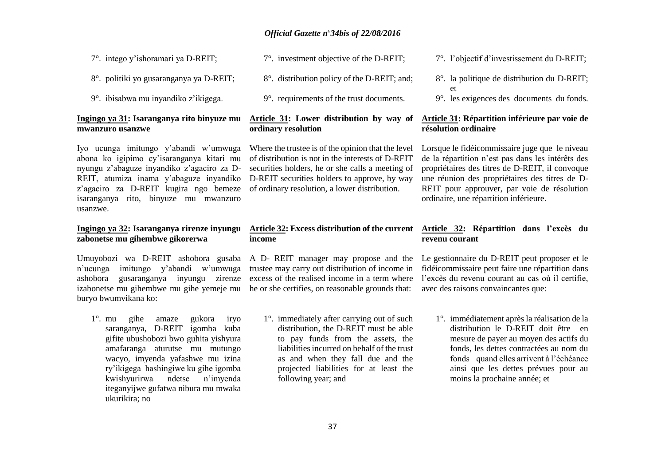- 7°. intego y'ishoramari ya D-REIT;
- 8°. politiki yo gusaranganya ya D-REIT;
- 9°. ibisabwa mu inyandiko z'ikigega.

#### **Ingingo ya 31: Isaranganya rito binyuze mu mwanzuro usanzwe**

Iyo ucunga imitungo y'abandi w'umwuga abona ko igipimo cy'isaranganya kitari mu nyungu z'abaguze inyandiko z'agaciro za D-REIT, atumiza inama y'abaguze inyandiko z'agaciro za D-REIT kugira ngo bemeze isaranganya rito, binyuze mu mwanzuro usanzwe.

#### **Ingingo ya 32: Isaranganya rirenze inyungu zabonetse mu gihembwe gikorerwa**

Umuyobozi wa D-REIT ashobora gusaba n'ucunga imitungo y'abandi w'umwuga ashobora gusaranganya inyungu zirenze buryo bwumvikana ko:

1°. mu gihe amaze gukora iryo saranganya, D-REIT igomba kuba gifite ubushobozi bwo guhita yishyura amafaranga aturutse mu mutungo wacyo, imyenda yafashwe mu izina ry'ikigega hashingiwe ku gihe igomba kwishyurirwa ndetse n'imyenda iteganyijwe gufatwa nibura mu mwaka ukurikira; no

- 7°. investment objective of the D-REIT;
- 8°. distribution policy of the D-REIT; and;
- 9°. requirements of the trust documents.

#### **Article 31: Lower distribution by way of ordinary resolution**

Where the trustee is of the opinion that the level of distribution is not in the interests of D-REIT securities holders, he or she calls a meeting of D-REIT securities holders to approve, by way of ordinary resolution, a lower distribution.

#### **Article 32: Excess distribution of the current income**

izabonetse mu gihembwe mu gihe yemeje mu he or she certifies, on reasonable grounds that: trustee may carry out distribution of income in

> 1°. immediately after carrying out of such distribution, the D-REIT must be able to pay funds from the assets, the liabilities incurred on behalf of the trust as and when they fall due and the projected liabilities for at least the following year; and

- 7°. l'objectif d'investissement du D-REIT;
- 8°. la politique de distribution du D-REIT; et
- 9°. les exigences des documents du fonds.

#### **Article 31: Répartition inférieure par voie de résolution ordinaire**

Lorsque le fidéicommissaire juge que le niveau de la répartition n'est pas dans les intérêts des propriétaires des titres de D-REIT, il convoque une réunion des propriétaires des titres de D-REIT pour approuver, par voie de résolution ordinaire, une répartition inférieure.

#### **Article 32: Répartition dans l'excès du revenu courant**

A D- REIT manager may propose and the Le gestionnaire du D-REIT peut proposer et le excess of the realised income in a term where l'excès du revenu courant au cas où il certifie, fidéicommissaire peut faire une répartition dans avec des raisons convaincantes que:

> 1°. immédiatement après la réalisation de la distribution le D-REIT doit être en mesure de payer au moyen des actifs du fonds, les dettes contractées au nom du fonds quand elles arrivent à l'échéance ainsi que les dettes prévues pour au moins la prochaine année; et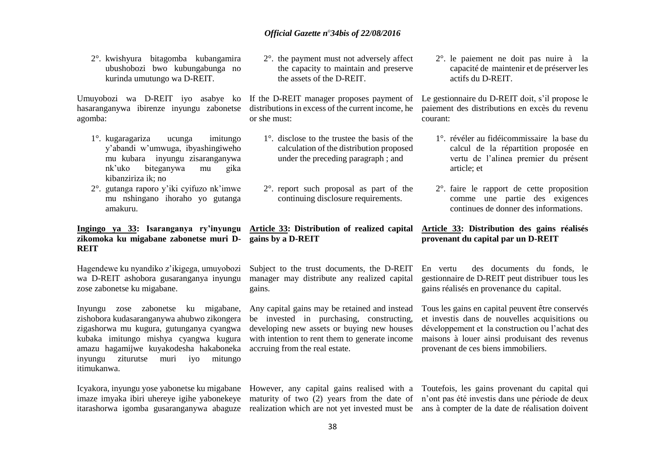2°. kwishyura bitagomba kubangamira ubushobozi bwo kubungabunga no kurinda umutungo wa D-REIT.

hasaranganywa ibirenze inyungu zabonetse agomba:

- 1°. kugaragariza ucunga imitungo y'abandi w'umwuga, ibyashingiweho mu kubara inyungu zisaranganywa nk'uko biteganywa mu gika kibanziriza ik; no
- 2°. gutanga raporo y'iki cyifuzo nk'imwe mu nshingano ihoraho yo gutanga amakuru.

#### **Ingingo ya 33: Isaranganya ry'inyungu zikomoka ku migabane zabonetse muri D-gains by a D-REIT REIT**

Hagendewe ku nyandiko z'ikigega, umuyobozi wa D-REIT ashobora gusaranganya inyungu zose zabonetse ku migabane.

Inyungu zose zabonetse ku migabane, zishobora kudasaranganywa ahubwo zikongera zigashorwa mu kugura, gutunganya cyangwa kubaka imitungo mishya cyangwa kugura amazu hagamijwe kuyakodesha hakaboneka inyungu ziturutse muri iyo mitungo itimukanwa.

Icyakora, inyungu yose yabonetse ku migabane However, any capital gains realised with a Toutefois, les gains provenant du capital qui

2°. the payment must not adversely affect the capacity to maintain and preserve the assets of the D-REIT.

distributions in excess of the current income, he or she must:

- 1°. disclose to the trustee the basis of the calculation of the distribution proposed under the preceding paragraph ; and
- 2°. report such proposal as part of the continuing disclosure requirements.

## **Article 33: Distribution of realized capital**

Subject to the trust documents, the D-REIT manager may distribute any realized capital gains.

be invested in purchasing, constructing, developing new assets or buying new houses with intention to rent them to generate income accruing from the real estate.

2°. le paiement ne doit pas nuire à la capacité de maintenir et de préserver les actifs du D-REIT.

Umuyobozi wa D-REIT iyo asabye ko If the D-REIT manager proposes payment of Le gestionnaire du D-REIT doit, s'il propose le paiement des distributions en excès du revenu courant:

- 1°. révéler au fidéicommissaire la base du calcul de la répartition proposée en vertu de l'alinea premier du présent article; et
- 2°. faire le rapport de cette proposition comme une partie des exigences continues de donner des informations.

### **Article 33: Distribution des gains réalisés provenant du capital par un D-REIT**

En vertu des documents du fonds, le gestionnaire de D-REIT peut distribuer tous les gains réalisés en provenance du capital.

Any capital gains may be retained and instead Tous les gains en capital peuvent être conservés et investis dans de nouvelles acquisitions ou développement et la construction ou l'achat des maisons à louer ainsi produisant des revenus provenant de ces biens immobiliers.

imaze imyaka ibiri uhereye igihe yabonekeye maturity of two (2) years from the date of n'ont pas été investis dans une période de deux

itarashorwa igomba gusaranganywa abaguze realization which are not yet invested must be ans à compter de la date de réalisation doivent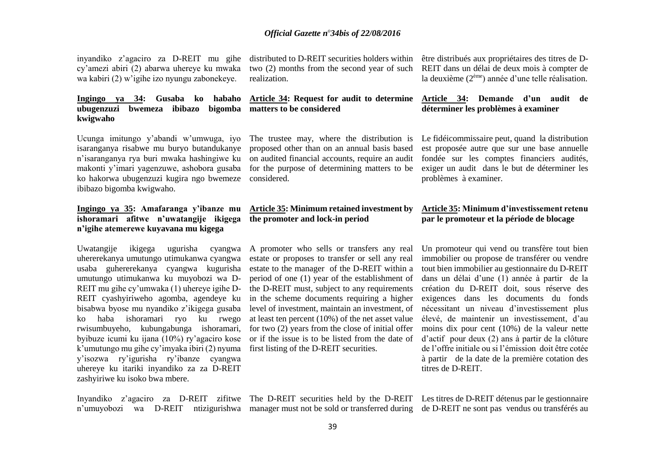inyandiko z'agaciro za D-REIT mu gihe cy'amezi abiri (2) abarwa uhereye ku mwaka wa kabiri (2) w'igihe izo nyungu zabonekeye.

### **ubugenzuzi bwemeza ibibazo bigomba matters to be considered kwigwaho**

Ucunga imitungo y'abandi w'umwuga, iyo isaranganya risabwe mu buryo butandukanye n'isaranganya rya buri mwaka hashingiwe ku makonti y'imari yagenzuwe, ashobora gusaba ko hakorwa ubugenzuzi kugira ngo bwemeze ibibazo bigomba kwigwaho.

#### **Ingingo ya 35: Amafaranga y'ibanze mu ishoramari afitwe n'uwatangije ikigega the promoter and lock-in period n'igihe atemerewe kuyavana mu kigega**

Uwatangije ikigega ugurisha cyangwa A promoter who sells or transfers any real uhererekanya umutungo utimukanwa cyangwa usaba guhererekanya cyangwa kugurisha umutungo utimukanwa ku muyobozi wa D-REIT mu gihe cy'umwaka (1) uhereye igihe D-REIT cyashyiriweho agomba, agendeye ku bisabwa byose mu nyandiko z'ikigega gusaba ko haba ishoramari ryo ku rwego rwisumbuyeho, kubungabunga ishoramari, byibuze icumi ku ijana (10%) ry'agaciro kose k'umutungo mu gihe cy'imyaka ibiri (2) nyuma y'isozwa ry'igurisha ry'ibanze cyangwa uhereye ku itariki inyandiko za za D-REIT zashyiriwe ku isoko bwa mbere.

distributed to D-REIT securities holders within realization.

### **Ingingo ya 34: Gusaba ko habaho Article 34: Request for audit to determine**

proposed other than on an annual basis based est proposée autre que sur une base annuelle on audited financial accounts, require an audit for the purpose of determining matters to be exiger un audit dans le but de déterminer les considered.

# **Article 35: Minimum retained investment by**

estate or proposes to transfer or sell any real estate to the manager of the D-REIT within a period of one (1) year of the establishment of the D-REIT must, subject to any requirements in the scheme documents requiring a higher level of investment, maintain an investment, of at least ten percent (10%) of the net asset value for two (2) years from the close of initial offer first listing of the D-REIT securities.

two (2) months from the second year of such REIT dans un délai de deux mois à compter de être distribués aux propriétaires des titres de Dla deuxième (2ème) année d'une telle réalisation.

#### **Article 34: Demande d'un audit de déterminer les problèmes à examiner**

The trustee may, where the distribution is Le fidéicommissaire peut, quand la distribution fondée sur les comptes financiers audités, problèmes à examiner.

#### **Article 35: Minimum d'investissement retenu par le promoteur et la période de blocage**

or if the issue is to be listed from the date of d'actif pour deux (2) ans à partir de la clôture Un promoteur qui vend ou transfère tout bien immobilier ou propose de transférer ou vendre tout bien immobilier au gestionnaire du D-REIT dans un délai d'une (1) année à partir de la création du D-REIT doit, sous réserve des exigences dans les documents du fonds nécessitant un niveau d'investissement plus élevé, de maintenir un investissement, d'au moins dix pour cent (10%) de la valeur nette de l'offre initiale ou si l'émission doit être cotée à partir de la date de la première cotation des titres de D-REIT.

Inyandiko z'agaciro za D-REIT zifitwe The D-REIT securities held by the D-REIT Les titres de D-REIT détenus par le gestionnaire n'umuyobozi wa D-REIT ntizigurishwa manager must not be sold or transferred during de D-REIT ne sont pas vendus ou transférés au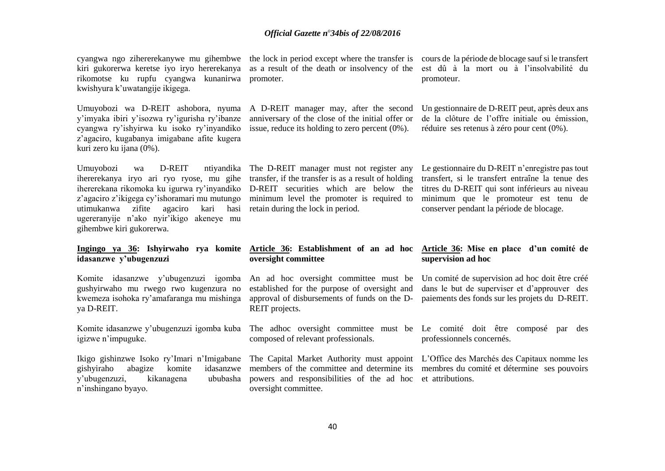rikomotse ku rupfu cyangwa kunanirwa promoter. kwishyura k'uwatangije ikigega.

Umuyobozi wa D-REIT ashobora, nyuma A D-REIT manager may, after the second y'imyaka ibiri y'isozwa ry'igurisha ry'ibanze cyangwa ry'ishyirwa ku isoko ry'inyandiko z'agaciro, kugabanya imigabane afite kugera kuri zero ku ijana (0%).

ihererekanya iryo ari ryo ryose, mu gihe z'agaciro z'ikigega cy'ishoramari mu mutungo utimukanwa zifite agaciro kari hasi ugereranyije n'ako nyir'ikigo akeneye mu gihembwe kiri gukorerwa.

### **idasanzwe y'ubugenzuzi**

Komite idasanzwe y'ubugenzuzi igomba gushyirwaho mu rwego rwo kugenzura no kwemeza isohoka ry'amafaranga mu mishinga ya D-REIT.

Komite idasanzwe y'ubugenzuzi igomba kuba igizwe n'impuguke.

Ikigo gishinzwe Isoko ry'Imari n'Imigabane The Capital Market Authority must appoint L'Office des Marchés des Capitaux nomme les gishyiraho abagize komite idasanzwe y'ubugenzuzi, kikanagena ububasha n'inshingano byayo.

cyangwa ngo zihererekanywe mu gihembwe the lock in period except where the transfer is cours de la période de blocage sauf si le transfert kiri gukorerwa keretse iyo iryo hererekanya as a result of the death or insolvency of the est dû à la mort ou à l'insolvabilité du

> anniversary of the close of the initial offer or issue, reduce its holding to zero percent (0%).

ihererekana rikomoka ku igurwa ry'inyandiko D-REIT securities which are below the titres du D-REIT qui sont inférieurs au niveau transfer, if the transfer is as a result of holding transfert, si le transfert entraîne la tenue des minimum level the promoter is required to retain during the lock in period.

promoteur.

Un gestionnaire de D-REIT peut, après deux ans de la clôture de l'offre initiale ou émission, réduire ses retenus à zéro pour cent (0%).

Umuyobozi wa D-REIT ntiyandika The D-REIT manager must not register any Le gestionnaire du D-REIT n'enregistre pas tout minimum que le promoteur est tenu de conserver pendant la période de blocage.

#### **Ingingo ya 36: Ishyirwaho rya komite Article 36: Establishment of an ad hoc Article 36: Mise en place d'un comité de oversight committee supervision ad hoc**

An ad hoc oversight committee must be established for the purpose of oversight and dans le but de superviser et d'approuver des approval of disbursements of funds on the D-paiements des fonds sur les projets du D-REIT. REIT projects.

The adhoc oversight committee must be Le comité doit être composé par des composed of relevant professionals.

Un comité de supervision ad hoc doit être créé

professionnels concernés.

members of the committee and determine its membres du comité et détermine ses pouvoirs powers and responsibilities of the ad hoc et attributions.

oversight committee.